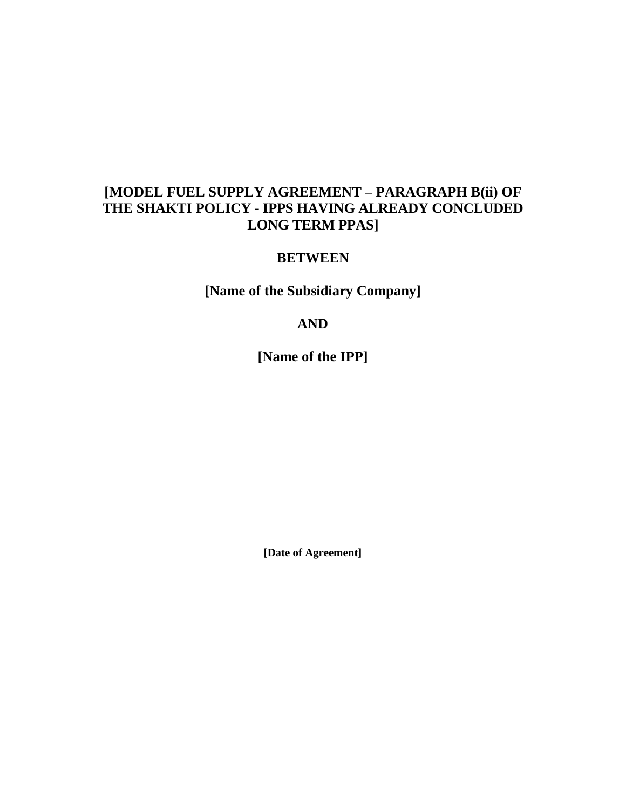# **[MODEL FUEL SUPPLY AGREEMENT – PARAGRAPH B(ii) OF THE SHAKTI POLICY - IPPS HAVING ALREADY CONCLUDED LONG TERM PPAS]**

## **BETWEEN**

**[Name of the Subsidiary Company]** 

# **AND**

**[Name of the IPP]**

**[Date of Agreement]**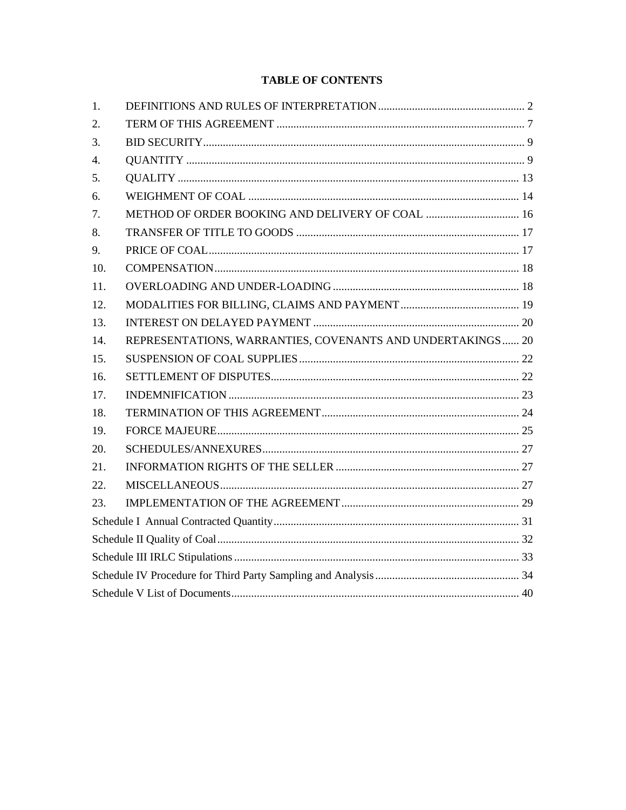## **TABLE OF CONTENTS**

| 1.  |                                                            |  |  |
|-----|------------------------------------------------------------|--|--|
| 2.  |                                                            |  |  |
| 3.  |                                                            |  |  |
| 4.  |                                                            |  |  |
| 5.  |                                                            |  |  |
| 6.  |                                                            |  |  |
| 7.  |                                                            |  |  |
| 8.  |                                                            |  |  |
| 9.  |                                                            |  |  |
| 10. |                                                            |  |  |
| 11. |                                                            |  |  |
| 12. |                                                            |  |  |
| 13. |                                                            |  |  |
| 14. | REPRESENTATIONS, WARRANTIES, COVENANTS AND UNDERTAKINGS 20 |  |  |
| 15. |                                                            |  |  |
| 16. |                                                            |  |  |
| 17. |                                                            |  |  |
| 18. |                                                            |  |  |
| 19. |                                                            |  |  |
| 20. |                                                            |  |  |
| 21. |                                                            |  |  |
| 22. |                                                            |  |  |
| 23. |                                                            |  |  |
|     |                                                            |  |  |
|     |                                                            |  |  |
|     |                                                            |  |  |
|     |                                                            |  |  |
|     |                                                            |  |  |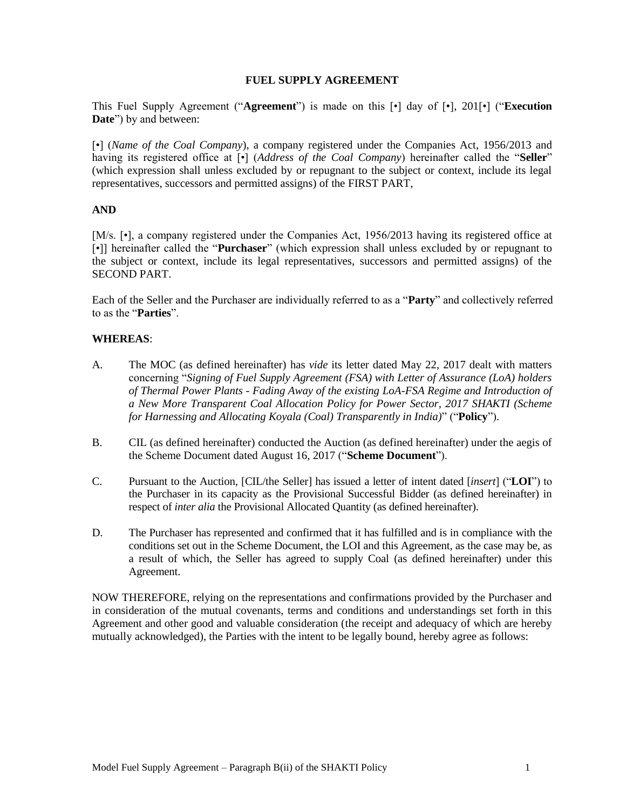#### **FUEL SUPPLY AGREEMENT**

This Fuel Supply Agreement ("**Agreement**") is made on this [•] day of [•], 201[•] ("**Execution Date**") by and between:

[•] (*Name of the Coal Company*), a company registered under the Companies Act, 1956/2013 and having its registered office at [•] (*Address of the Coal Company*) hereinafter called the "**Seller**" (which expression shall unless excluded by or repugnant to the subject or context, include its legal representatives, successors and permitted assigns) of the FIRST PART,

#### **AND**

[M/s. [ $\cdot$ ], a company registered under the Companies Act, 1956/2013 having its registered office at [•]] hereinafter called the "**Purchaser**" (which expression shall unless excluded by or repugnant to the subject or context, include its legal representatives, successors and permitted assigns) of the SECOND PART.

Each of the Seller and the Purchaser are individually referred to as a "**Party**" and collectively referred to as the "**Parties**".

#### **WHEREAS**:

- A. The MOC (as defined hereinafter) has *vide* its letter dated May 22, 2017 dealt with matters concerning "*Signing of Fuel Supply Agreement (FSA) with Letter of Assurance (LoA) holders of Thermal Power Plants - Fading Away of the existing LoA-FSA Regime and Introduction of a New More Transparent Coal Allocation Policy for Power Sector, 2017 SHAKTI (Scheme for Harnessing and Allocating Koyala (Coal) Transparently in India)*" ("**Policy**").
- B. CIL (as defined hereinafter) conducted the Auction (as defined hereinafter) under the aegis of the Scheme Document dated August 16, 2017 ("**Scheme Document**").
- C. Pursuant to the Auction, [CIL/the Seller] has issued a letter of intent dated [*insert*] ("**LOI**") to the Purchaser in its capacity as the Provisional Successful Bidder (as defined hereinafter) in respect of *inter alia* the Provisional Allocated Quantity (as defined hereinafter).
- D. The Purchaser has represented and confirmed that it has fulfilled and is in compliance with the conditions set out in the Scheme Document, the LOI and this Agreement, as the case may be, as a result of which, the Seller has agreed to supply Coal (as defined hereinafter) under this Agreement.

NOW THEREFORE, relying on the representations and confirmations provided by the Purchaser and in consideration of the mutual covenants, terms and conditions and understandings set forth in this Agreement and other good and valuable consideration (the receipt and adequacy of which are hereby mutually acknowledged), the Parties with the intent to be legally bound, hereby agree as follows: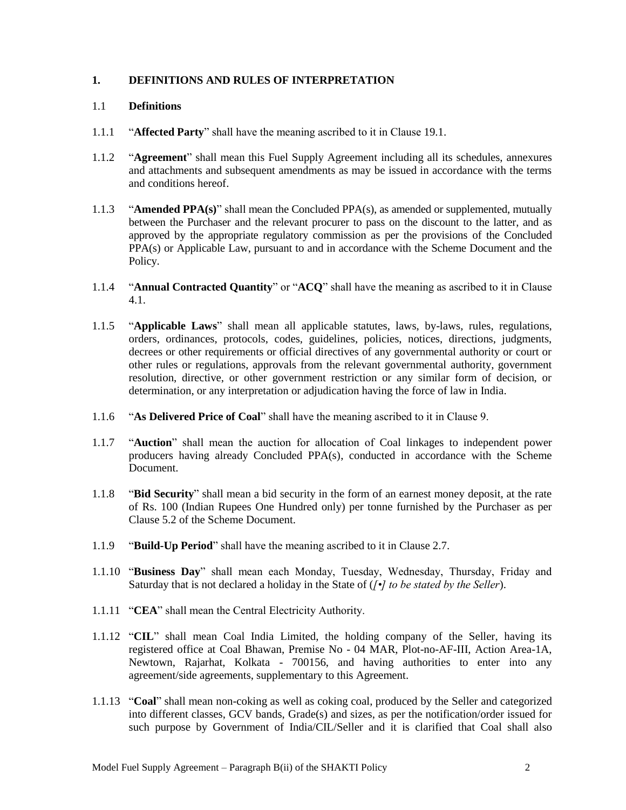## <span id="page-3-0"></span>**1. DEFINITIONS AND RULES OF INTERPRETATION**

#### 1.1 **Definitions**

- 1.1.1 "**Affected Party**" shall have the meaning ascribed to it in Clause 19.1.
- 1.1.2 "**Agreement**" shall mean this Fuel Supply Agreement including all its schedules, annexures and attachments and subsequent amendments as may be issued in accordance with the terms and conditions hereof.
- 1.1.3 "**Amended PPA(s)**" shall mean the Concluded PPA(s), as amended or supplemented, mutually between the Purchaser and the relevant procurer to pass on the discount to the latter, and as approved by the appropriate regulatory commission as per the provisions of the Concluded PPA(s) or Applicable Law, pursuant to and in accordance with the Scheme Document and the Policy.
- 1.1.4 "**Annual Contracted Quantity**" or "**ACQ**" shall have the meaning as ascribed to it in Clause 4.1.
- 1.1.5 "**Applicable Laws**" shall mean all applicable statutes, laws, by-laws, rules, regulations, orders, ordinances, protocols, codes, guidelines, policies, notices, directions, judgments, decrees or other requirements or official directives of any governmental authority or court or other rules or regulations, approvals from the relevant governmental authority, government resolution, directive, or other government restriction or any similar form of decision, or determination, or any interpretation or adjudication having the force of law in India.
- 1.1.6 "**As Delivered Price of Coal**" shall have the meaning ascribed to it in Clause 9.
- 1.1.7 "**Auction**" shall mean the auction for allocation of Coal linkages to independent power producers having already Concluded PPA(s), conducted in accordance with the Scheme Document.
- 1.1.8 "**Bid Security**" shall mean a bid security in the form of an earnest money deposit, at the rate of Rs. 100 (Indian Rupees One Hundred only) per tonne furnished by the Purchaser as per Clause 5.2 of the Scheme Document.
- 1.1.9 "**Build-Up Period**" shall have the meaning ascribed to it in Clause 2.7.
- 1.1.10 "**Business Day**" shall mean each Monday, Tuesday, Wednesday, Thursday, Friday and Saturday that is not declared a holiday in the State of (*[•] to be stated by the Seller*).
- 1.1.11 "**CEA**" shall mean the Central Electricity Authority.
- 1.1.12 "**CIL**" shall mean Coal India Limited, the holding company of the Seller, having its registered office at Coal Bhawan, Premise No - 04 MAR, Plot-no-AF-III, Action Area-1A, Newtown, Rajarhat, Kolkata - 700156, and having authorities to enter into any agreement/side agreements, supplementary to this Agreement.
- 1.1.13 "**Coal**" shall mean non-coking as well as coking coal, produced by the Seller and categorized into different classes, GCV bands, Grade(s) and sizes, as per the notification/order issued for such purpose by Government of India/CIL/Seller and it is clarified that Coal shall also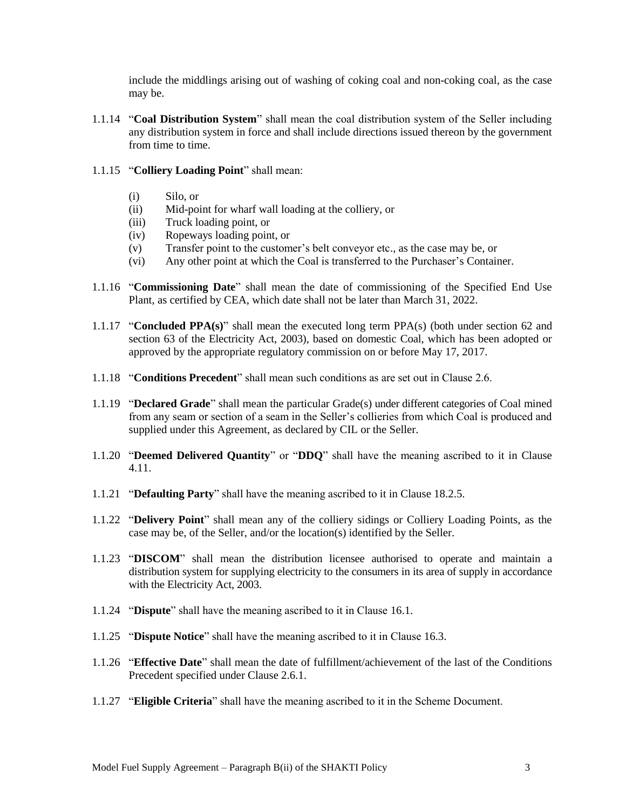include the middlings arising out of washing of coking coal and non-coking coal, as the case may be.

1.1.14 "**Coal Distribution System**" shall mean the coal distribution system of the Seller including any distribution system in force and shall include directions issued thereon by the government from time to time.

#### 1.1.15 "**Colliery Loading Point**" shall mean:

- (i) Silo, or
- (ii) Mid-point for wharf wall loading at the colliery, or
- (iii) Truck loading point, or
- (iv) Ropeways loading point, or
- (v) Transfer point to the customer"s belt conveyor etc., as the case may be, or
- (vi) Any other point at which the Coal is transferred to the Purchaser"s Container.
- 1.1.16 "**Commissioning Date**" shall mean the date of commissioning of the Specified End Use Plant, as certified by CEA, which date shall not be later than March 31, 2022.
- 1.1.17 "**Concluded PPA(s)**" shall mean the executed long term PPA(s) (both under section 62 and section 63 of the Electricity Act, 2003), based on domestic Coal, which has been adopted or approved by the appropriate regulatory commission on or before May 17, 2017.
- 1.1.18 "**Conditions Precedent**" shall mean such conditions as are set out in Clause 2.6.
- 1.1.19 "**Declared Grade**" shall mean the particular Grade(s) under different categories of Coal mined from any seam or section of a seam in the Seller"s collieries from which Coal is produced and supplied under this Agreement, as declared by CIL or the Seller.
- 1.1.20 "**Deemed Delivered Quantity**" or "**DDQ**" shall have the meaning ascribed to it in Clause 4.11.
- 1.1.21 "**Defaulting Party**" shall have the meaning ascribed to it in Clause 18.2.5.
- 1.1.22 "**Delivery Point**" shall mean any of the colliery sidings or Colliery Loading Points, as the case may be, of the Seller, and/or the location(s) identified by the Seller.
- 1.1.23 "**DISCOM**" shall mean the distribution licensee authorised to operate and maintain a distribution system for supplying electricity to the consumers in its area of supply in accordance with the Electricity Act, 2003.
- 1.1.24 "**Dispute**" shall have the meaning ascribed to it in Clause 16.1.
- 1.1.25 "**Dispute Notice**" shall have the meaning ascribed to it in Clause 16.3.
- 1.1.26 "**Effective Date**" shall mean the date of fulfillment/achievement of the last of the Conditions Precedent specified under Clause 2.6.1.
- 1.1.27 "**Eligible Criteria**" shall have the meaning ascribed to it in the Scheme Document.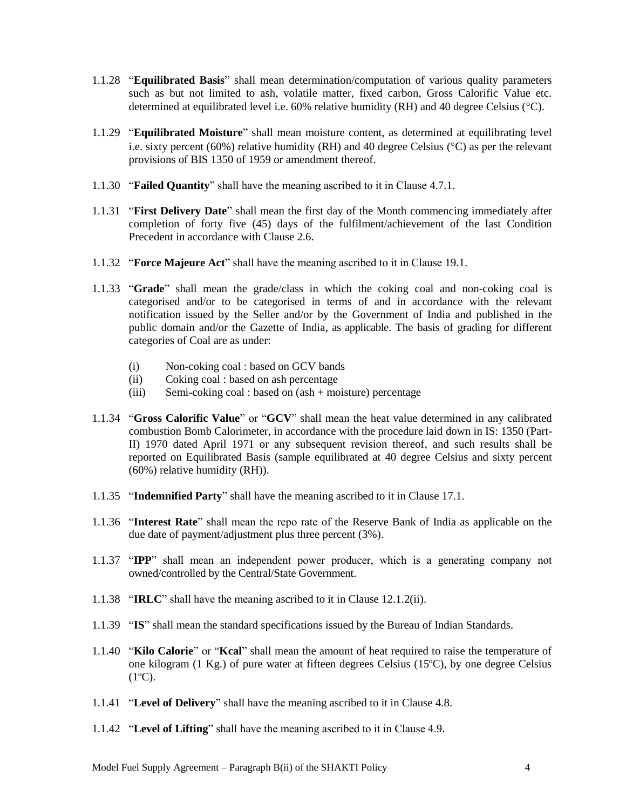- 1.1.28 "**Equilibrated Basis**" shall mean determination/computation of various quality parameters such as but not limited to ash, volatile matter, fixed carbon, Gross Calorific Value etc. determined at equilibrated level i.e.  $60\%$  relative humidity (RH) and 40 degree Celsius (°C).
- 1.1.29 "**Equilibrated Moisture**" shall mean moisture content, as determined at equilibrating level i.e. sixty percent (60%) relative humidity (RH) and 40 degree Celsius ( $\degree$ C) as per the relevant provisions of BIS 1350 of 1959 or amendment thereof.
- 1.1.30 "**Failed Quantity**" shall have the meaning ascribed to it in Clause 4.7.1.
- 1.1.31 "**First Delivery Date**" shall mean the first day of the Month commencing immediately after completion of forty five (45) days of the fulfilment/achievement of the last Condition Precedent in accordance with Clause 2.6.
- 1.1.32 "**Force Majeure Act**" shall have the meaning ascribed to it in Clause 19.1.
- 1.1.33 "**Grade**" shall mean the grade/class in which the coking coal and non-coking coal is categorised and/or to be categorised in terms of and in accordance with the relevant notification issued by the Seller and/or by the Government of India and published in the public domain and/or the Gazette of India, as applicable. The basis of grading for different categories of Coal are as under:
	- (i) Non-coking coal : based on GCV bands
	- (ii) Coking coal : based on ash percentage
	- (iii) Semi-coking coal : based on (ash + moisture) percentage
- 1.1.34 "**Gross Calorific Value**" or "**GCV**" shall mean the heat value determined in any calibrated combustion Bomb Calorimeter, in accordance with the procedure laid down in IS: 1350 (Part-II) 1970 dated April 1971 or any subsequent revision thereof, and such results shall be reported on Equilibrated Basis (sample equilibrated at 40 degree Celsius and sixty percent (60%) relative humidity (RH)).
- 1.1.35 "**Indemnified Party**" shall have the meaning ascribed to it in Clause 17.1.
- 1.1.36 "**Interest Rate**" shall mean the repo rate of the Reserve Bank of India as applicable on the due date of payment/adjustment plus three percent (3%).
- 1.1.37 "**IPP**" shall mean an independent power producer, which is a generating company not owned/controlled by the Central/State Government.
- 1.1.38 "**IRLC**" shall have the meaning ascribed to it in Clause 12.1.2(ii).
- 1.1.39 "**IS**" shall mean the standard specifications issued by the Bureau of Indian Standards.
- 1.1.40 "**Kilo Calorie**" or "**Kcal**" shall mean the amount of heat required to raise the temperature of one kilogram (1 Kg.) of pure water at fifteen degrees Celsius (15ºC), by one degree Celsius  $(1^{\circ}C)$ .
- 1.1.41 "**Level of Delivery**" shall have the meaning ascribed to it in Clause 4.8.
- 1.1.42 "**Level of Lifting**" shall have the meaning ascribed to it in Clause 4.9.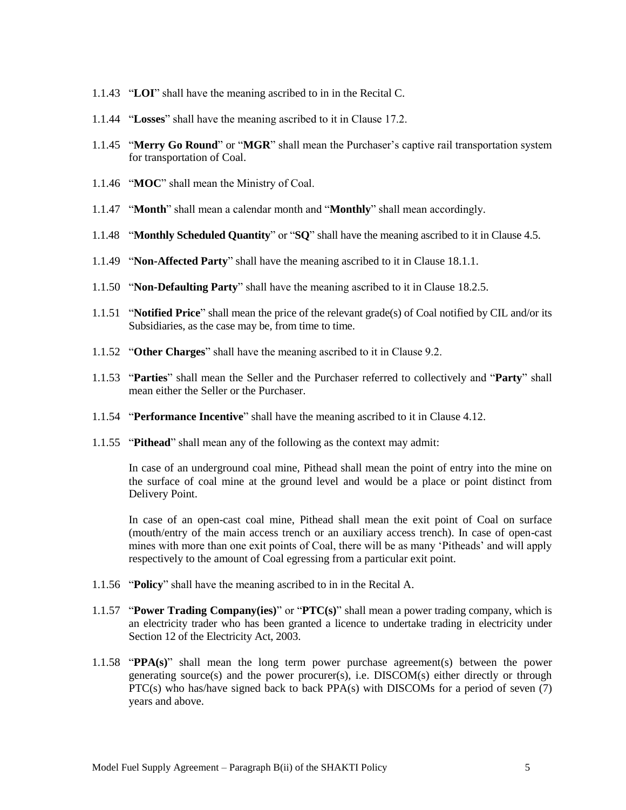- 1.1.43 "**LOI**" shall have the meaning ascribed to in in the Recital C.
- 1.1.44 "**Losses**" shall have the meaning ascribed to it in Clause 17.2.
- 1.1.45 "**Merry Go Round**" or "**MGR**" shall mean the Purchaser"s captive rail transportation system for transportation of Coal.
- 1.1.46 "**MOC**" shall mean the Ministry of Coal.
- 1.1.47 "**Month**" shall mean a calendar month and "**Monthly**" shall mean accordingly.
- 1.1.48 "**Monthly Scheduled Quantity**" or "**SQ**" shall have the meaning ascribed to it in Clause 4.5.
- 1.1.49 "**Non-Affected Party**" shall have the meaning ascribed to it in Clause 18.1.1.
- 1.1.50 "**Non-Defaulting Party**" shall have the meaning ascribed to it in Clause 18.2.5.
- 1.1.51 "**Notified Price**" shall mean the price of the relevant grade(s) of Coal notified by CIL and/or its Subsidiaries, as the case may be, from time to time.
- 1.1.52 "**Other Charges**" shall have the meaning ascribed to it in Clause 9.2.
- 1.1.53 "**Parties**" shall mean the Seller and the Purchaser referred to collectively and "**Party**" shall mean either the Seller or the Purchaser.
- 1.1.54 "**Performance Incentive**" shall have the meaning ascribed to it in Clause 4.12.
- 1.1.55 "**Pithead**" shall mean any of the following as the context may admit:

In case of an underground coal mine, Pithead shall mean the point of entry into the mine on the surface of coal mine at the ground level and would be a place or point distinct from Delivery Point.

In case of an open-cast coal mine, Pithead shall mean the exit point of Coal on surface (mouth/entry of the main access trench or an auxiliary access trench). In case of open-cast mines with more than one exit points of Coal, there will be as many 'Pitheads' and will apply respectively to the amount of Coal egressing from a particular exit point.

- 1.1.56 "**Policy**" shall have the meaning ascribed to in in the Recital A.
- 1.1.57 "**Power Trading Company(ies)**" or "**PTC(s)**" shall mean a power trading company, which is an electricity trader who has been granted a licence to undertake trading in electricity under Section 12 of the Electricity Act, 2003.
- 1.1.58 "**PPA(s)**" shall mean the long term power purchase agreement(s) between the power generating source(s) and the power procurer(s), i.e. DISCOM(s) either directly or through PTC(s) who has/have signed back to back PPA(s) with DISCOMs for a period of seven  $(7)$ years and above.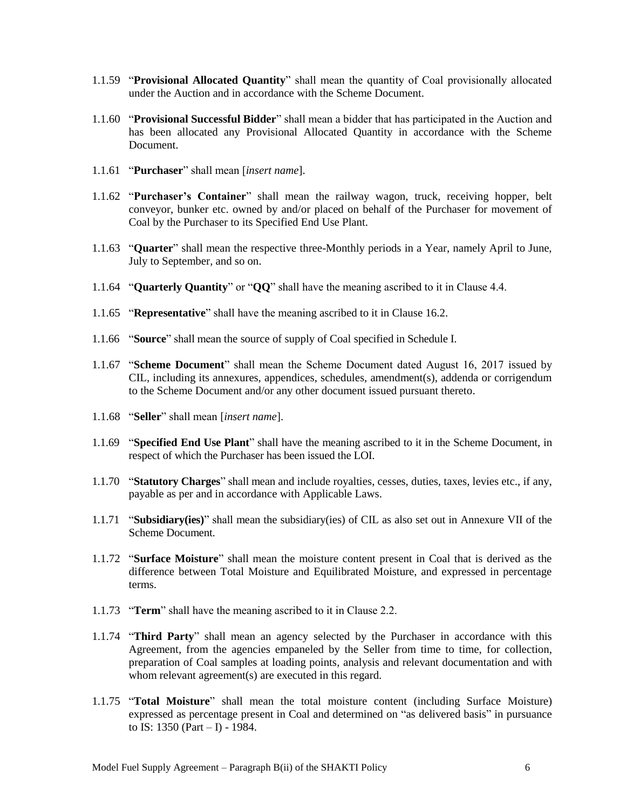- 1.1.59 "**Provisional Allocated Quantity**" shall mean the quantity of Coal provisionally allocated under the Auction and in accordance with the Scheme Document.
- 1.1.60 "**Provisional Successful Bidder**" shall mean a bidder that has participated in the Auction and has been allocated any Provisional Allocated Quantity in accordance with the Scheme Document.
- 1.1.61 "**Purchaser**" shall mean [*insert name*].
- 1.1.62 "**Purchaser's Container**" shall mean the railway wagon, truck, receiving hopper, belt conveyor, bunker etc. owned by and/or placed on behalf of the Purchaser for movement of Coal by the Purchaser to its Specified End Use Plant.
- 1.1.63 "**Quarter**" shall mean the respective three-Monthly periods in a Year, namely April to June, July to September, and so on.
- 1.1.64 "**Quarterly Quantity**" or "**QQ**" shall have the meaning ascribed to it in Clause 4.4.
- 1.1.65 "**Representative**" shall have the meaning ascribed to it in Clause 16.2.
- 1.1.66 "**Source**" shall mean the source of supply of Coal specified in Schedule I.
- 1.1.67 "**Scheme Document**" shall mean the Scheme Document dated August 16, 2017 issued by CIL, including its annexures, appendices, schedules, amendment(s), addenda or corrigendum to the Scheme Document and/or any other document issued pursuant thereto.
- 1.1.68 "**Seller**" shall mean [*insert name*].
- 1.1.69 "**Specified End Use Plant**" shall have the meaning ascribed to it in the Scheme Document, in respect of which the Purchaser has been issued the LOI.
- 1.1.70 "**Statutory Charges**" shall mean and include royalties, cesses, duties, taxes, levies etc., if any, payable as per and in accordance with Applicable Laws.
- 1.1.71 "**Subsidiary(ies)**" shall mean the subsidiary(ies) of CIL as also set out in Annexure VII of the Scheme Document.
- 1.1.72 "**Surface Moisture**" shall mean the moisture content present in Coal that is derived as the difference between Total Moisture and Equilibrated Moisture, and expressed in percentage terms.
- 1.1.73 "**Term**" shall have the meaning ascribed to it in Clause 2.2.
- 1.1.74 "**Third Party**" shall mean an agency selected by the Purchaser in accordance with this Agreement, from the agencies empaneled by the Seller from time to time, for collection, preparation of Coal samples at loading points, analysis and relevant documentation and with whom relevant agreement(s) are executed in this regard.
- 1.1.75 "**Total Moisture**" shall mean the total moisture content (including Surface Moisture) expressed as percentage present in Coal and determined on "as delivered basis" in pursuance to IS: 1350 (Part  $- I$ ) - 1984.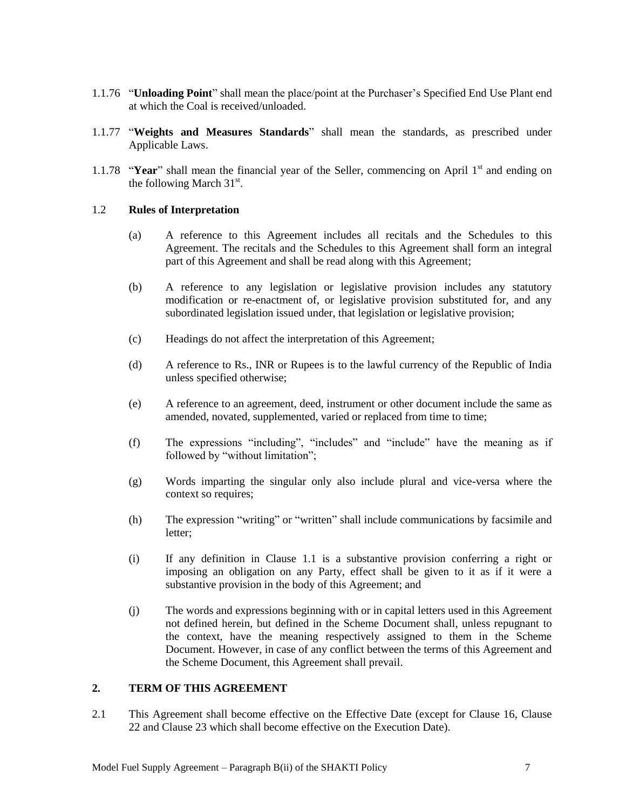- 1.1.76 "**Unloading Point**" shall mean the place/point at the Purchaser"s Specified End Use Plant end at which the Coal is received/unloaded.
- 1.1.77 "**Weights and Measures Standards**" shall mean the standards, as prescribed under Applicable Laws.
- 1.1.78 "**Year**" shall mean the financial year of the Seller, commencing on April  $1<sup>st</sup>$  and ending on the following March  $31<sup>st</sup>$ .

#### 1.2 **Rules of Interpretation**

- (a) A reference to this Agreement includes all recitals and the Schedules to this Agreement. The recitals and the Schedules to this Agreement shall form an integral part of this Agreement and shall be read along with this Agreement;
- (b) A reference to any legislation or legislative provision includes any statutory modification or re-enactment of, or legislative provision substituted for, and any subordinated legislation issued under, that legislation or legislative provision;
- (c) Headings do not affect the interpretation of this Agreement;
- (d) A reference to Rs., INR or Rupees is to the lawful currency of the Republic of India unless specified otherwise;
- (e) A reference to an agreement, deed, instrument or other document include the same as amended, novated, supplemented, varied or replaced from time to time;
- (f) The expressions "including", "includes" and "include" have the meaning as if followed by "without limitation";
- (g) Words imparting the singular only also include plural and vice-versa where the context so requires;
- (h) The expression "writing" or "written" shall include communications by facsimile and letter;
- (i) If any definition in Clause 1.1 is a substantive provision conferring a right or imposing an obligation on any Party, effect shall be given to it as if it were a substantive provision in the body of this Agreement; and
- (j) The words and expressions beginning with or in capital letters used in this Agreement not defined herein, but defined in the Scheme Document shall, unless repugnant to the context, have the meaning respectively assigned to them in the Scheme Document. However, in case of any conflict between the terms of this Agreement and the Scheme Document, this Agreement shall prevail.

## <span id="page-8-0"></span>**2. TERM OF THIS AGREEMENT**

2.1 This Agreement shall become effective on the Effective Date (except for Clause 16, Clause 22 and Clause 23 which shall become effective on the Execution Date).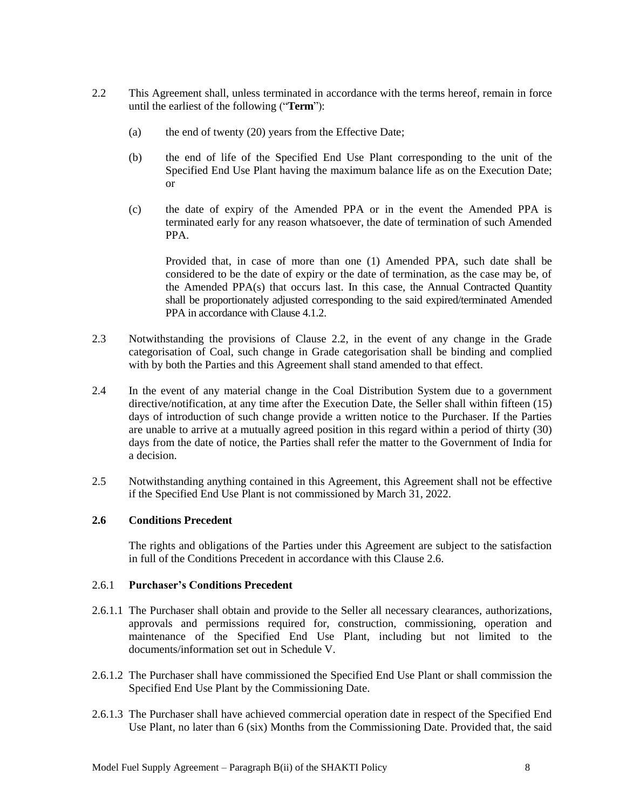- 2.2 This Agreement shall, unless terminated in accordance with the terms hereof, remain in force until the earliest of the following ("**Term**"):
	- (a) the end of twenty (20) years from the Effective Date;
	- (b) the end of life of the Specified End Use Plant corresponding to the unit of the Specified End Use Plant having the maximum balance life as on the Execution Date; or
	- (c) the date of expiry of the Amended PPA or in the event the Amended PPA is terminated early for any reason whatsoever, the date of termination of such Amended PPA.

Provided that, in case of more than one (1) Amended PPA, such date shall be considered to be the date of expiry or the date of termination, as the case may be, of the Amended PPA(s) that occurs last. In this case, the Annual Contracted Quantity shall be proportionately adjusted corresponding to the said expired/terminated Amended PPA in accordance with Clause 4.1.2.

- 2.3 Notwithstanding the provisions of Clause 2.2, in the event of any change in the Grade categorisation of Coal, such change in Grade categorisation shall be binding and complied with by both the Parties and this Agreement shall stand amended to that effect.
- 2.4 In the event of any material change in the Coal Distribution System due to a government directive/notification, at any time after the Execution Date, the Seller shall within fifteen (15) days of introduction of such change provide a written notice to the Purchaser. If the Parties are unable to arrive at a mutually agreed position in this regard within a period of thirty (30) days from the date of notice, the Parties shall refer the matter to the Government of India for a decision.
- 2.5 Notwithstanding anything contained in this Agreement, this Agreement shall not be effective if the Specified End Use Plant is not commissioned by March 31, 2022.

#### **2.6 Conditions Precedent**

The rights and obligations of the Parties under this Agreement are subject to the satisfaction in full of the Conditions Precedent in accordance with this Clause 2.6.

#### 2.6.1 **Purchaser's Conditions Precedent**

- 2.6.1.1 The Purchaser shall obtain and provide to the Seller all necessary clearances, authorizations, approvals and permissions required for, construction, commissioning, operation and maintenance of the Specified End Use Plant, including but not limited to the documents/information set out in Schedule V.
- 2.6.1.2 The Purchaser shall have commissioned the Specified End Use Plant or shall commission the Specified End Use Plant by the Commissioning Date.
- 2.6.1.3 The Purchaser shall have achieved commercial operation date in respect of the Specified End Use Plant, no later than 6 (six) Months from the Commissioning Date. Provided that, the said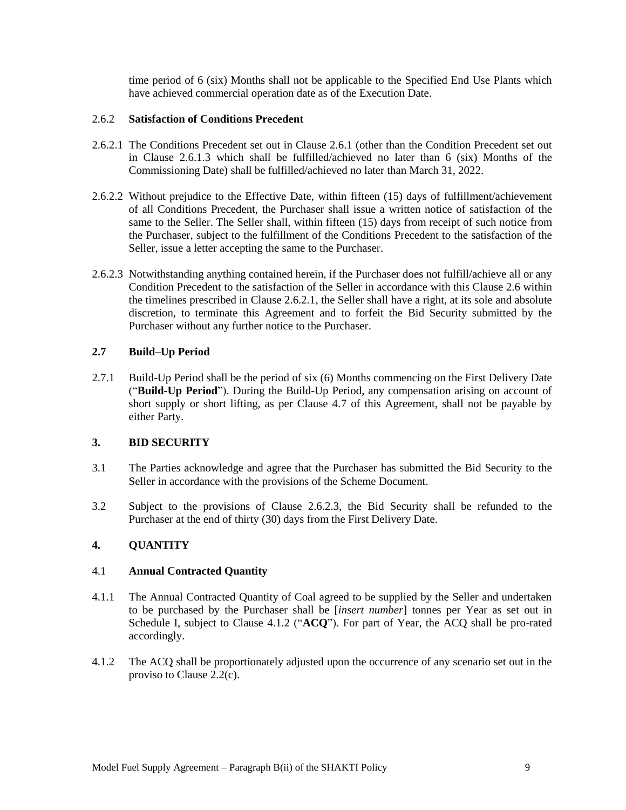time period of 6 (six) Months shall not be applicable to the Specified End Use Plants which have achieved commercial operation date as of the Execution Date.

#### 2.6.2 **Satisfaction of Conditions Precedent**

- 2.6.2.1 The Conditions Precedent set out in Clause 2.6.1 (other than the Condition Precedent set out in Clause 2.6.1.3 which shall be fulfilled/achieved no later than 6 (six) Months of the Commissioning Date) shall be fulfilled/achieved no later than March 31, 2022.
- 2.6.2.2 Without prejudice to the Effective Date, within fifteen (15) days of fulfillment/achievement of all Conditions Precedent, the Purchaser shall issue a written notice of satisfaction of the same to the Seller. The Seller shall, within fifteen (15) days from receipt of such notice from the Purchaser, subject to the fulfillment of the Conditions Precedent to the satisfaction of the Seller, issue a letter accepting the same to the Purchaser.
- 2.6.2.3 Notwithstanding anything contained herein, if the Purchaser does not fulfill/achieve all or any Condition Precedent to the satisfaction of the Seller in accordance with this Clause 2.6 within the timelines prescribed in Clause 2.6.2.1, the Seller shall have a right, at its sole and absolute discretion, to terminate this Agreement and to forfeit the Bid Security submitted by the Purchaser without any further notice to the Purchaser.

## **2.7 Build–Up Period**

2.7.1 Build-Up Period shall be the period of six (6) Months commencing on the First Delivery Date ("**Build-Up Period**"). During the Build-Up Period, any compensation arising on account of short supply or short lifting, as per Clause 4.7 of this Agreement, shall not be payable by either Party.

## <span id="page-10-0"></span>**3. BID SECURITY**

- 3.1 The Parties acknowledge and agree that the Purchaser has submitted the Bid Security to the Seller in accordance with the provisions of the Scheme Document.
- 3.2 Subject to the provisions of Clause 2.6.2.3, the Bid Security shall be refunded to the Purchaser at the end of thirty (30) days from the First Delivery Date.

## <span id="page-10-1"></span>**4. QUANTITY**

#### 4.1 **Annual Contracted Quantity**

- 4.1.1 The Annual Contracted Quantity of Coal agreed to be supplied by the Seller and undertaken to be purchased by the Purchaser shall be [*insert number*] tonnes per Year as set out in Schedule I, subject to Clause 4.1.2 ("**ACQ**"). For part of Year, the ACQ shall be pro-rated accordingly.
- 4.1.2 The ACQ shall be proportionately adjusted upon the occurrence of any scenario set out in the proviso to Clause 2.2(c).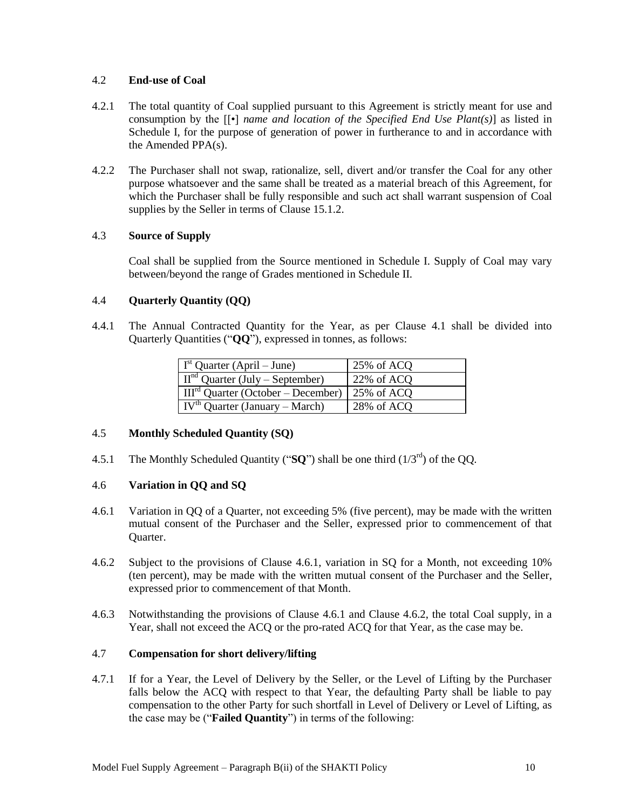#### 4.2 **End-use of Coal**

- 4.2.1 The total quantity of Coal supplied pursuant to this Agreement is strictly meant for use and consumption by the [[•] *name and location of the Specified End Use Plant(s)*] as listed in Schedule I, for the purpose of generation of power in furtherance to and in accordance with the Amended PPA(s).
- 4.2.2 The Purchaser shall not swap, rationalize, sell, divert and/or transfer the Coal for any other purpose whatsoever and the same shall be treated as a material breach of this Agreement, for which the Purchaser shall be fully responsible and such act shall warrant suspension of Coal supplies by the Seller in terms of Clause 15.1.2.

## 4.3 **Source of Supply**

Coal shall be supplied from the Source mentioned in Schedule I. Supply of Coal may vary between/beyond the range of Grades mentioned in Schedule II.

## 4.4 **Quarterly Quantity (QQ)**

4.4.1 The Annual Contracted Quantity for the Year, as per Clause 4.1 shall be divided into Quarterly Quantities ("**QQ**"), expressed in tonnes, as follows:

| $\int$ I <sup>st</sup> Quarter (April – June) | 25% of ACQ |
|-----------------------------------------------|------------|
| $IInd$ Quarter (July – September)             | 22% of ACQ |
| $III^{rd}$ Quarter (October – December)       | 25% of ACQ |
| $IVth$ Quarter (January – March)              | 28% of ACQ |

## 4.5 **Monthly Scheduled Quantity (SQ)**

4.5.1 The Monthly Scheduled Quantity (" $SO$ ") shall be one third ( $1/3<sup>rd</sup>$ ) of the OO.

#### 4.6 **Variation in QQ and SQ**

- 4.6.1 Variation in QQ of a Quarter, not exceeding 5% (five percent), may be made with the written mutual consent of the Purchaser and the Seller, expressed prior to commencement of that Quarter.
- 4.6.2 Subject to the provisions of Clause 4.6.1, variation in SQ for a Month, not exceeding 10% (ten percent), may be made with the written mutual consent of the Purchaser and the Seller, expressed prior to commencement of that Month.
- 4.6.3 Notwithstanding the provisions of Clause 4.6.1 and Clause 4.6.2, the total Coal supply, in a Year, shall not exceed the ACQ or the pro-rated ACQ for that Year, as the case may be.

## 4.7 **Compensation for short delivery/lifting**

4.7.1 If for a Year, the Level of Delivery by the Seller, or the Level of Lifting by the Purchaser falls below the ACQ with respect to that Year, the defaulting Party shall be liable to pay compensation to the other Party for such shortfall in Level of Delivery or Level of Lifting, as the case may be ("**Failed Quantity**") in terms of the following: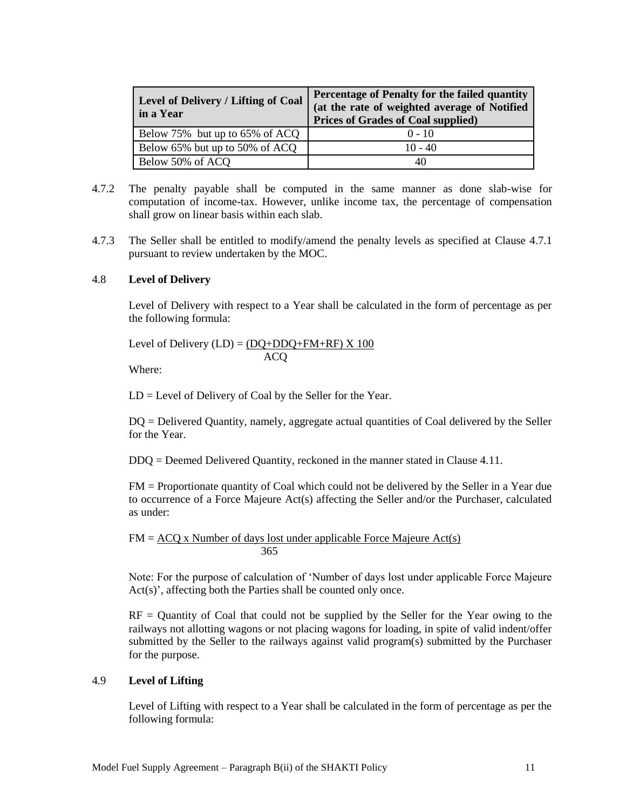| <b>Level of Delivery / Lifting of Coal</b><br>in a Year | Percentage of Penalty for the failed quantity<br>(at the rate of weighted average of Notified<br><b>Prices of Grades of Coal supplied)</b> |
|---------------------------------------------------------|--------------------------------------------------------------------------------------------------------------------------------------------|
| Below 75% but up to 65% of ACQ                          | $0 - 10$                                                                                                                                   |
| Below 65% but up to 50% of ACQ                          | $10 - 40$                                                                                                                                  |
| Below 50% of ACQ                                        | 40                                                                                                                                         |

- 4.7.2 The penalty payable shall be computed in the same manner as done slab-wise for computation of income-tax. However, unlike income tax, the percentage of compensation shall grow on linear basis within each slab.
- 4.7.3 The Seller shall be entitled to modify/amend the penalty levels as specified at Clause 4.7.1 pursuant to review undertaken by the MOC.

#### 4.8 **Level of Delivery**

Level of Delivery with respect to a Year shall be calculated in the form of percentage as per the following formula:

Level of Delivery  $(LD) = (DQ + DDQ + FM + RF) \times 100$ ACQ

Where:

LD = Level of Delivery of Coal by the Seller for the Year.

DQ = Delivered Quantity, namely, aggregate actual quantities of Coal delivered by the Seller for the Year.

DDQ = Deemed Delivered Quantity, reckoned in the manner stated in Clause 4.11.

FM = Proportionate quantity of Coal which could not be delivered by the Seller in a Year due to occurrence of a Force Majeure Act(s) affecting the Seller and/or the Purchaser, calculated as under:

 $FM = ACQ$  x Number of days lost under applicable Force Majeure Act(s) 365

Note: For the purpose of calculation of "Number of days lost under applicable Force Majeure  $Act(s)$ , affecting both the Parties shall be counted only once.

 $RF =$  Quantity of Coal that could not be supplied by the Seller for the Year owing to the railways not allotting wagons or not placing wagons for loading, in spite of valid indent/offer submitted by the Seller to the railways against valid program(s) submitted by the Purchaser for the purpose.

## 4.9 **Level of Lifting**

Level of Lifting with respect to a Year shall be calculated in the form of percentage as per the following formula: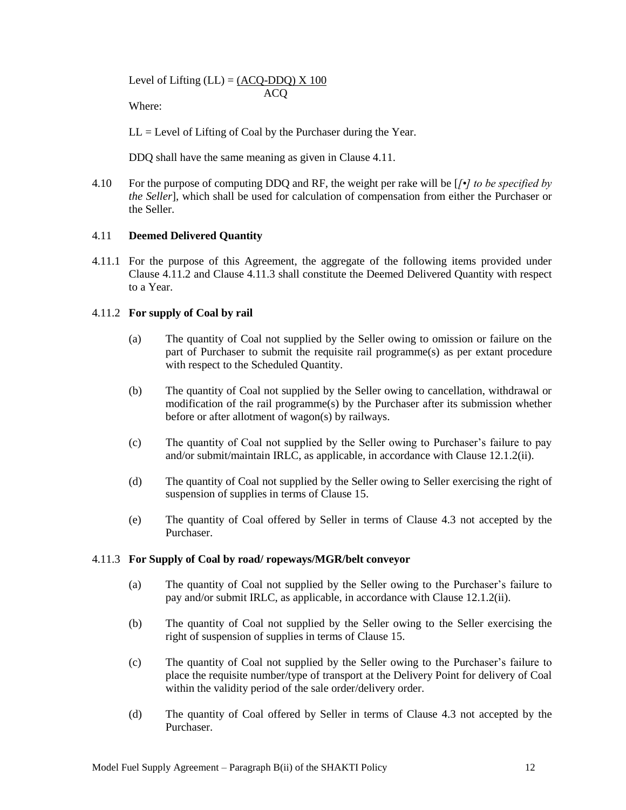Level of Lifting  $(LL) = (ACQ-DDO) \times 100$ ACQ

Where:

 $LL = Level$  of Lifting of Coal by the Purchaser during the Year.

DDQ shall have the same meaning as given in Clause 4.11.

4.10 For the purpose of computing DDQ and RF, the weight per rake will be [*[•] to be specified by the Seller*], which shall be used for calculation of compensation from either the Purchaser or the Seller.

## 4.11 **Deemed Delivered Quantity**

4.11.1 For the purpose of this Agreement, the aggregate of the following items provided under Clause 4.11.2 and Clause 4.11.3 shall constitute the Deemed Delivered Quantity with respect to a Year.

## 4.11.2 **For supply of Coal by rail**

- (a) The quantity of Coal not supplied by the Seller owing to omission or failure on the part of Purchaser to submit the requisite rail programme(s) as per extant procedure with respect to the Scheduled Quantity.
- (b) The quantity of Coal not supplied by the Seller owing to cancellation, withdrawal or modification of the rail programme(s) by the Purchaser after its submission whether before or after allotment of wagon(s) by railways.
- (c) The quantity of Coal not supplied by the Seller owing to Purchaser"s failure to pay and/or submit/maintain IRLC, as applicable, in accordance with Clause 12.1.2(ii).
- (d) The quantity of Coal not supplied by the Seller owing to Seller exercising the right of suspension of supplies in terms of Clause 15.
- (e) The quantity of Coal offered by Seller in terms of Clause 4.3 not accepted by the Purchaser.

#### 4.11.3 **For Supply of Coal by road/ ropeways/MGR/belt conveyor**

- (a) The quantity of Coal not supplied by the Seller owing to the Purchaser"s failure to pay and/or submit IRLC, as applicable, in accordance with Clause 12.1.2(ii).
- (b) The quantity of Coal not supplied by the Seller owing to the Seller exercising the right of suspension of supplies in terms of Clause 15.
- (c) The quantity of Coal not supplied by the Seller owing to the Purchaser"s failure to place the requisite number/type of transport at the Delivery Point for delivery of Coal within the validity period of the sale order/delivery order.
- (d) The quantity of Coal offered by Seller in terms of Clause 4.3 not accepted by the Purchaser.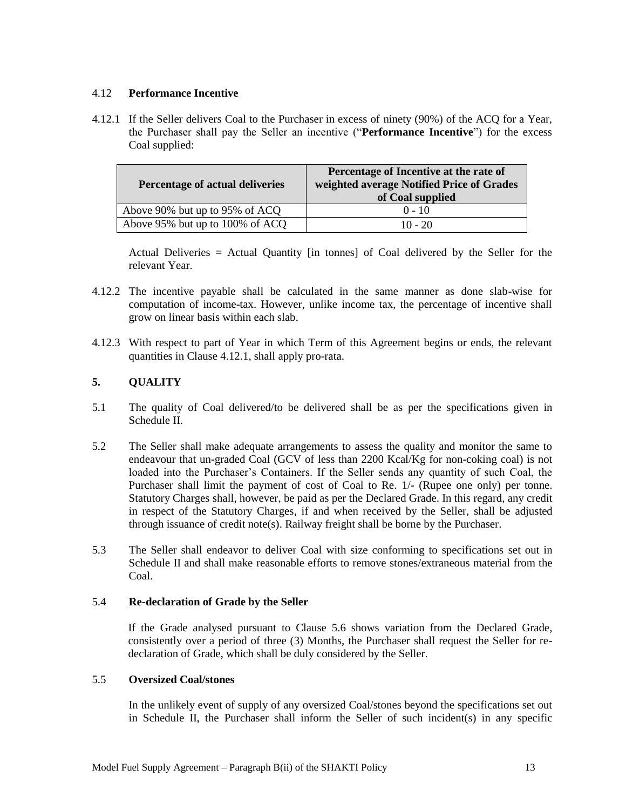## 4.12 **Performance Incentive**

4.12.1 If the Seller delivers Coal to the Purchaser in excess of ninety (90%) of the ACQ for a Year, the Purchaser shall pay the Seller an incentive ("**Performance Incentive**") for the excess Coal supplied:

| Percentage of actual deliveries | Percentage of Incentive at the rate of<br>weighted average Notified Price of Grades<br>of Coal supplied |
|---------------------------------|---------------------------------------------------------------------------------------------------------|
| Above 90% but up to 95% of ACQ  | $0 - 10$                                                                                                |
| Above 95% but up to 100% of ACQ | $10 - 20$                                                                                               |

Actual Deliveries = Actual Quantity [in tonnes] of Coal delivered by the Seller for the relevant Year.

- 4.12.2 The incentive payable shall be calculated in the same manner as done slab-wise for computation of income-tax. However, unlike income tax, the percentage of incentive shall grow on linear basis within each slab.
- 4.12.3 With respect to part of Year in which Term of this Agreement begins or ends, the relevant quantities in Clause 4.12.1, shall apply pro-rata.

## <span id="page-14-0"></span>**5. QUALITY**

- 5.1 The quality of Coal delivered/to be delivered shall be as per the specifications given in Schedule II.
- 5.2 The Seller shall make adequate arrangements to assess the quality and monitor the same to endeavour that un-graded Coal (GCV of less than 2200 Kcal/Kg for non-coking coal) is not loaded into the Purchaser's Containers. If the Seller sends any quantity of such Coal, the Purchaser shall limit the payment of cost of Coal to Re. 1/- (Rupee one only) per tonne. Statutory Charges shall, however, be paid as per the Declared Grade. In this regard, any credit in respect of the Statutory Charges, if and when received by the Seller, shall be adjusted through issuance of credit note(s). Railway freight shall be borne by the Purchaser.
- 5.3 The Seller shall endeavor to deliver Coal with size conforming to specifications set out in Schedule II and shall make reasonable efforts to remove stones/extraneous material from the Coal.

## 5.4 **Re-declaration of Grade by the Seller**

If the Grade analysed pursuant to Clause 5.6 shows variation from the Declared Grade, consistently over a period of three (3) Months, the Purchaser shall request the Seller for redeclaration of Grade, which shall be duly considered by the Seller.

#### 5.5 **Oversized Coal/stones**

In the unlikely event of supply of any oversized Coal/stones beyond the specifications set out in Schedule II, the Purchaser shall inform the Seller of such incident(s) in any specific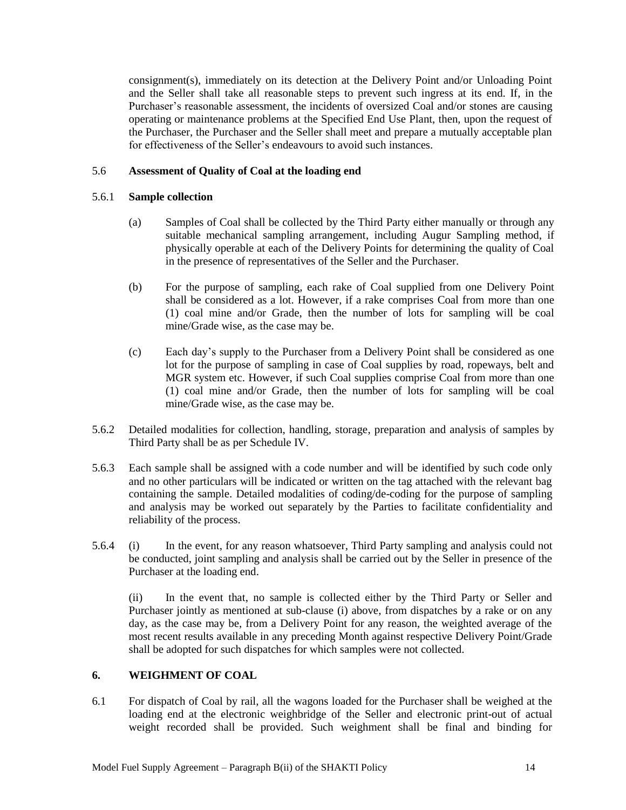consignment(s), immediately on its detection at the Delivery Point and/or Unloading Point and the Seller shall take all reasonable steps to prevent such ingress at its end. If, in the Purchaser's reasonable assessment, the incidents of oversized Coal and/or stones are causing operating or maintenance problems at the Specified End Use Plant, then, upon the request of the Purchaser, the Purchaser and the Seller shall meet and prepare a mutually acceptable plan for effectiveness of the Seller's endeavours to avoid such instances.

#### 5.6 **Assessment of Quality of Coal at the loading end**

#### 5.6.1 **Sample collection**

- (a) Samples of Coal shall be collected by the Third Party either manually or through any suitable mechanical sampling arrangement, including Augur Sampling method, if physically operable at each of the Delivery Points for determining the quality of Coal in the presence of representatives of the Seller and the Purchaser.
- (b) For the purpose of sampling, each rake of Coal supplied from one Delivery Point shall be considered as a lot. However, if a rake comprises Coal from more than one (1) coal mine and/or Grade, then the number of lots for sampling will be coal mine/Grade wise, as the case may be.
- (c) Each day"s supply to the Purchaser from a Delivery Point shall be considered as one lot for the purpose of sampling in case of Coal supplies by road, ropeways, belt and MGR system etc. However, if such Coal supplies comprise Coal from more than one (1) coal mine and/or Grade, then the number of lots for sampling will be coal mine/Grade wise, as the case may be.
- 5.6.2 Detailed modalities for collection, handling, storage, preparation and analysis of samples by Third Party shall be as per Schedule IV.
- 5.6.3 Each sample shall be assigned with a code number and will be identified by such code only and no other particulars will be indicated or written on the tag attached with the relevant bag containing the sample. Detailed modalities of coding/de-coding for the purpose of sampling and analysis may be worked out separately by the Parties to facilitate confidentiality and reliability of the process.
- 5.6.4 (i) In the event, for any reason whatsoever, Third Party sampling and analysis could not be conducted, joint sampling and analysis shall be carried out by the Seller in presence of the Purchaser at the loading end.

(ii) In the event that, no sample is collected either by the Third Party or Seller and Purchaser jointly as mentioned at sub-clause (i) above, from dispatches by a rake or on any day, as the case may be, from a Delivery Point for any reason, the weighted average of the most recent results available in any preceding Month against respective Delivery Point/Grade shall be adopted for such dispatches for which samples were not collected.

#### <span id="page-15-0"></span>**6. WEIGHMENT OF COAL**

6.1 For dispatch of Coal by rail, all the wagons loaded for the Purchaser shall be weighed at the loading end at the electronic weighbridge of the Seller and electronic print-out of actual weight recorded shall be provided. Such weighment shall be final and binding for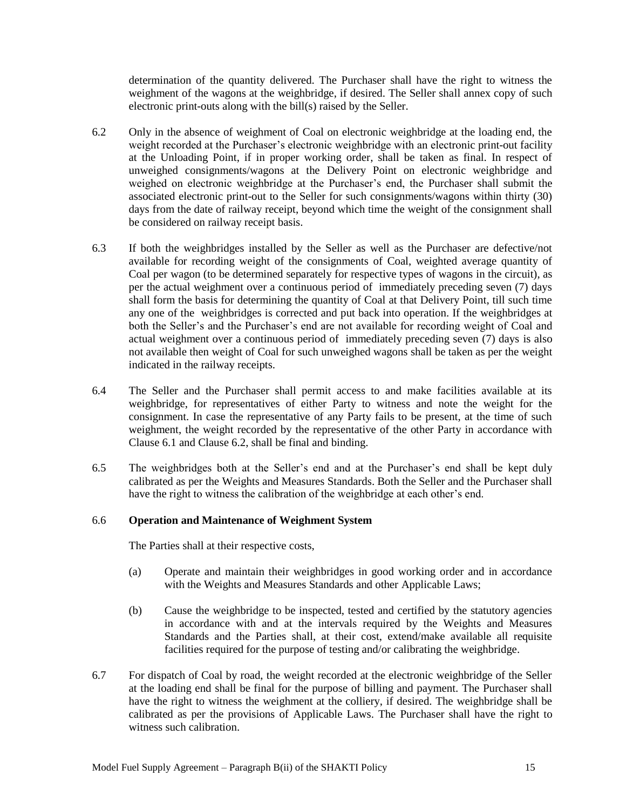determination of the quantity delivered. The Purchaser shall have the right to witness the weighment of the wagons at the weighbridge, if desired. The Seller shall annex copy of such electronic print-outs along with the bill(s) raised by the Seller.

- 6.2 Only in the absence of weighment of Coal on electronic weighbridge at the loading end, the weight recorded at the Purchaser"s electronic weighbridge with an electronic print-out facility at the Unloading Point, if in proper working order, shall be taken as final. In respect of unweighed consignments/wagons at the Delivery Point on electronic weighbridge and weighed on electronic weighbridge at the Purchaser"s end, the Purchaser shall submit the associated electronic print-out to the Seller for such consignments/wagons within thirty (30) days from the date of railway receipt, beyond which time the weight of the consignment shall be considered on railway receipt basis.
- 6.3 If both the weighbridges installed by the Seller as well as the Purchaser are defective/not available for recording weight of the consignments of Coal, weighted average quantity of Coal per wagon (to be determined separately for respective types of wagons in the circuit), as per the actual weighment over a continuous period of immediately preceding seven (7) days shall form the basis for determining the quantity of Coal at that Delivery Point, till such time any one of the weighbridges is corrected and put back into operation. If the weighbridges at both the Seller's and the Purchaser's end are not available for recording weight of Coal and actual weighment over a continuous period of immediately preceding seven (7) days is also not available then weight of Coal for such unweighed wagons shall be taken as per the weight indicated in the railway receipts.
- 6.4 The Seller and the Purchaser shall permit access to and make facilities available at its weighbridge, for representatives of either Party to witness and note the weight for the consignment. In case the representative of any Party fails to be present, at the time of such weighment, the weight recorded by the representative of the other Party in accordance with Clause 6.1 and Clause 6.2, shall be final and binding.
- 6.5 The weighbridges both at the Seller"s end and at the Purchaser"s end shall be kept duly calibrated as per the Weights and Measures Standards. Both the Seller and the Purchaser shall have the right to witness the calibration of the weighbridge at each other's end.

#### 6.6 **Operation and Maintenance of Weighment System**

The Parties shall at their respective costs,

- (a) Operate and maintain their weighbridges in good working order and in accordance with the Weights and Measures Standards and other Applicable Laws;
- (b) Cause the weighbridge to be inspected, tested and certified by the statutory agencies in accordance with and at the intervals required by the Weights and Measures Standards and the Parties shall, at their cost, extend/make available all requisite facilities required for the purpose of testing and/or calibrating the weighbridge.
- 6.7 For dispatch of Coal by road, the weight recorded at the electronic weighbridge of the Seller at the loading end shall be final for the purpose of billing and payment. The Purchaser shall have the right to witness the weighment at the colliery, if desired. The weighbridge shall be calibrated as per the provisions of Applicable Laws. The Purchaser shall have the right to witness such calibration.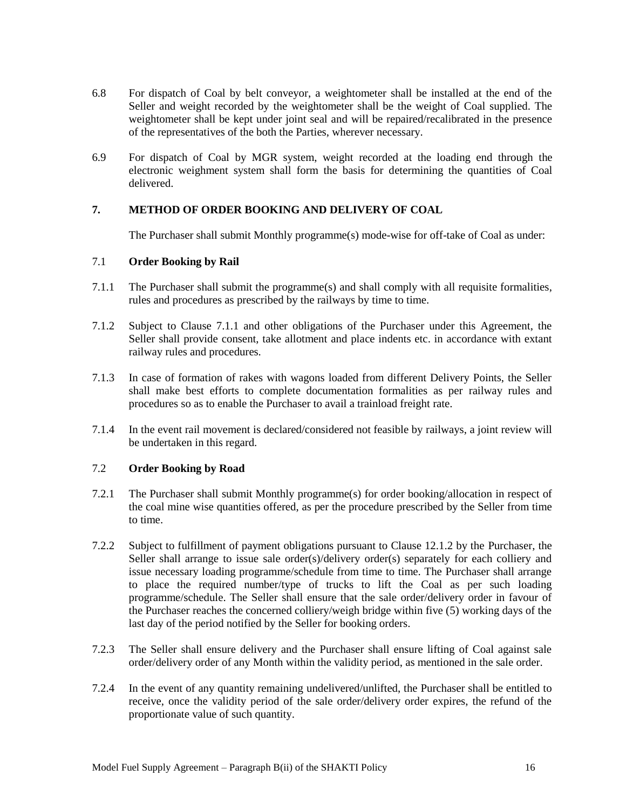- 6.8 For dispatch of Coal by belt conveyor, a weightometer shall be installed at the end of the Seller and weight recorded by the weightometer shall be the weight of Coal supplied. The weightometer shall be kept under joint seal and will be repaired/recalibrated in the presence of the representatives of the both the Parties, wherever necessary.
- 6.9 For dispatch of Coal by MGR system, weight recorded at the loading end through the electronic weighment system shall form the basis for determining the quantities of Coal delivered.

## <span id="page-17-0"></span>**7. METHOD OF ORDER BOOKING AND DELIVERY OF COAL**

The Purchaser shall submit Monthly programme(s) mode-wise for off-take of Coal as under:

#### 7.1 **Order Booking by Rail**

- 7.1.1 The Purchaser shall submit the programme(s) and shall comply with all requisite formalities, rules and procedures as prescribed by the railways by time to time.
- 7.1.2 Subject to Clause 7.1.1 and other obligations of the Purchaser under this Agreement, the Seller shall provide consent, take allotment and place indents etc. in accordance with extant railway rules and procedures.
- 7.1.3 In case of formation of rakes with wagons loaded from different Delivery Points, the Seller shall make best efforts to complete documentation formalities as per railway rules and procedures so as to enable the Purchaser to avail a trainload freight rate.
- 7.1.4 In the event rail movement is declared/considered not feasible by railways, a joint review will be undertaken in this regard.

## 7.2 **Order Booking by Road**

- 7.2.1 The Purchaser shall submit Monthly programme(s) for order booking/allocation in respect of the coal mine wise quantities offered, as per the procedure prescribed by the Seller from time to time.
- 7.2.2 Subject to fulfillment of payment obligations pursuant to Clause 12.1.2 by the Purchaser, the Seller shall arrange to issue sale order(s)/delivery order(s) separately for each colliery and issue necessary loading programme/schedule from time to time. The Purchaser shall arrange to place the required number/type of trucks to lift the Coal as per such loading programme/schedule. The Seller shall ensure that the sale order/delivery order in favour of the Purchaser reaches the concerned colliery/weigh bridge within five (5) working days of the last day of the period notified by the Seller for booking orders.
- 7.2.3 The Seller shall ensure delivery and the Purchaser shall ensure lifting of Coal against sale order/delivery order of any Month within the validity period, as mentioned in the sale order.
- 7.2.4 In the event of any quantity remaining undelivered/unlifted, the Purchaser shall be entitled to receive, once the validity period of the sale order/delivery order expires, the refund of the proportionate value of such quantity.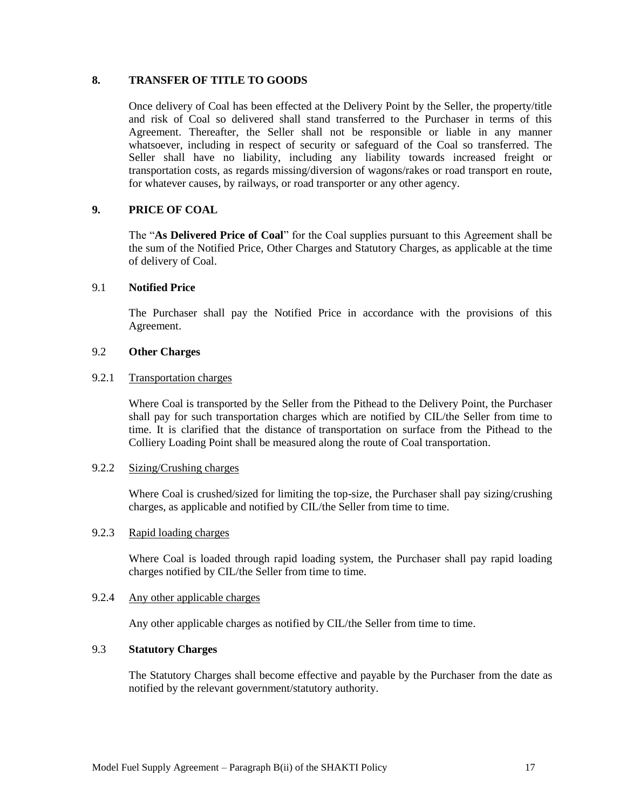## <span id="page-18-0"></span>**8. TRANSFER OF TITLE TO GOODS**

Once delivery of Coal has been effected at the Delivery Point by the Seller, the property/title and risk of Coal so delivered shall stand transferred to the Purchaser in terms of this Agreement. Thereafter, the Seller shall not be responsible or liable in any manner whatsoever, including in respect of security or safeguard of the Coal so transferred. The Seller shall have no liability, including any liability towards increased freight or transportation costs, as regards missing/diversion of wagons/rakes or road transport en route, for whatever causes, by railways, or road transporter or any other agency.

## <span id="page-18-1"></span>**9. PRICE OF COAL**

The "**As Delivered Price of Coal**" for the Coal supplies pursuant to this Agreement shall be the sum of the Notified Price, Other Charges and Statutory Charges, as applicable at the time of delivery of Coal.

## 9.1 **Notified Price**

The Purchaser shall pay the Notified Price in accordance with the provisions of this Agreement.

#### 9.2 **Other Charges**

## 9.2.1 Transportation charges

Where Coal is transported by the Seller from the Pithead to the Delivery Point, the Purchaser shall pay for such transportation charges which are notified by CIL/the Seller from time to time. It is clarified that the distance of transportation on surface from the Pithead to the Colliery Loading Point shall be measured along the route of Coal transportation.

#### 9.2.2 Sizing/Crushing charges

Where Coal is crushed/sized for limiting the top-size, the Purchaser shall pay sizing/crushing charges, as applicable and notified by CIL/the Seller from time to time.

#### 9.2.3 Rapid loading charges

Where Coal is loaded through rapid loading system, the Purchaser shall pay rapid loading charges notified by CIL/the Seller from time to time.

#### 9.2.4 Any other applicable charges

Any other applicable charges as notified by CIL/the Seller from time to time.

#### 9.3 **Statutory Charges**

The Statutory Charges shall become effective and payable by the Purchaser from the date as notified by the relevant government/statutory authority.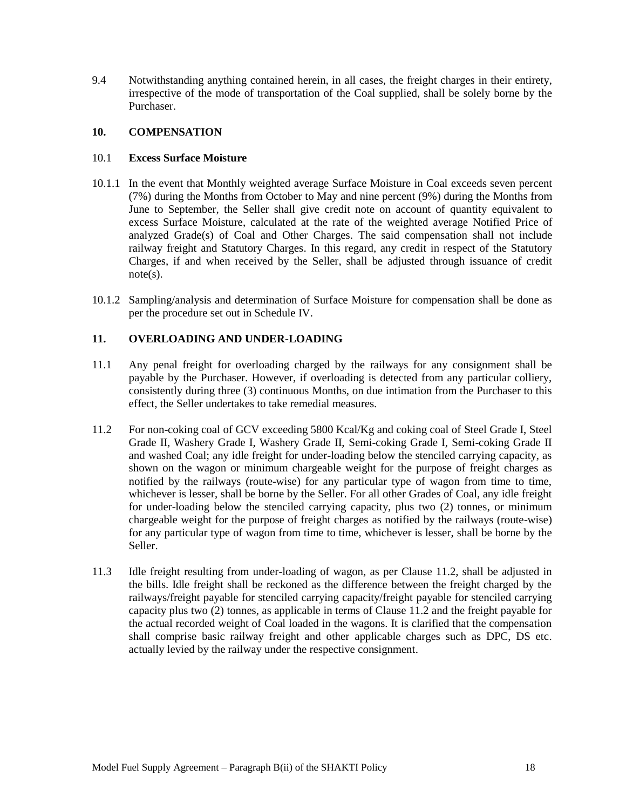9.4 Notwithstanding anything contained herein, in all cases, the freight charges in their entirety, irrespective of the mode of transportation of the Coal supplied, shall be solely borne by the Purchaser.

#### <span id="page-19-0"></span>**10. COMPENSATION**

#### 10.1 **Excess Surface Moisture**

- 10.1.1 In the event that Monthly weighted average Surface Moisture in Coal exceeds seven percent (7%) during the Months from October to May and nine percent (9%) during the Months from June to September, the Seller shall give credit note on account of quantity equivalent to excess Surface Moisture, calculated at the rate of the weighted average Notified Price of analyzed Grade(s) of Coal and Other Charges. The said compensation shall not include railway freight and Statutory Charges. In this regard, any credit in respect of the Statutory Charges, if and when received by the Seller, shall be adjusted through issuance of credit note(s).
- 10.1.2 Sampling/analysis and determination of Surface Moisture for compensation shall be done as per the procedure set out in Schedule IV.

#### <span id="page-19-1"></span>**11. OVERLOADING AND UNDER-LOADING**

- 11.1 Any penal freight for overloading charged by the railways for any consignment shall be payable by the Purchaser. However, if overloading is detected from any particular colliery, consistently during three (3) continuous Months, on due intimation from the Purchaser to this effect, the Seller undertakes to take remedial measures.
- 11.2 For non-coking coal of GCV exceeding 5800 Kcal/Kg and coking coal of Steel Grade I, Steel Grade II, Washery Grade I, Washery Grade II, Semi-coking Grade I, Semi-coking Grade II and washed Coal; any idle freight for under-loading below the stenciled carrying capacity, as shown on the wagon or minimum chargeable weight for the purpose of freight charges as notified by the railways (route-wise) for any particular type of wagon from time to time, whichever is lesser, shall be borne by the Seller. For all other Grades of Coal, any idle freight for under-loading below the stenciled carrying capacity, plus two (2) tonnes, or minimum chargeable weight for the purpose of freight charges as notified by the railways (route-wise) for any particular type of wagon from time to time, whichever is lesser, shall be borne by the Seller.
- 11.3 Idle freight resulting from under-loading of wagon, as per Clause 11.2, shall be adjusted in the bills. Idle freight shall be reckoned as the difference between the freight charged by the railways/freight payable for stenciled carrying capacity/freight payable for stenciled carrying capacity plus two (2) tonnes, as applicable in terms of Clause 11.2 and the freight payable for the actual recorded weight of Coal loaded in the wagons. It is clarified that the compensation shall comprise basic railway freight and other applicable charges such as DPC, DS etc. actually levied by the railway under the respective consignment.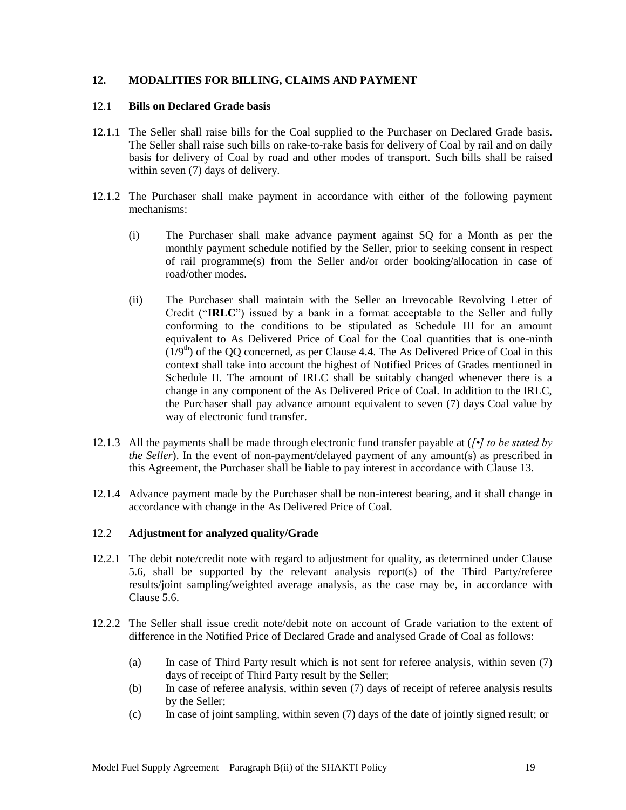## <span id="page-20-0"></span>**12. MODALITIES FOR BILLING, CLAIMS AND PAYMENT**

#### 12.1 **Bills on Declared Grade basis**

- 12.1.1 The Seller shall raise bills for the Coal supplied to the Purchaser on Declared Grade basis. The Seller shall raise such bills on rake-to-rake basis for delivery of Coal by rail and on daily basis for delivery of Coal by road and other modes of transport. Such bills shall be raised within seven (7) days of delivery.
- 12.1.2 The Purchaser shall make payment in accordance with either of the following payment mechanisms:
	- (i) The Purchaser shall make advance payment against SQ for a Month as per the monthly payment schedule notified by the Seller, prior to seeking consent in respect of rail programme(s) from the Seller and/or order booking/allocation in case of road/other modes.
	- (ii) The Purchaser shall maintain with the Seller an Irrevocable Revolving Letter of Credit ("**IRLC**") issued by a bank in a format acceptable to the Seller and fully conforming to the conditions to be stipulated as Schedule III for an amount equivalent to As Delivered Price of Coal for the Coal quantities that is one-ninth  $(1/9<sup>th</sup>)$  of the QQ concerned, as per Clause 4.4. The As Delivered Price of Coal in this context shall take into account the highest of Notified Prices of Grades mentioned in Schedule II. The amount of IRLC shall be suitably changed whenever there is a change in any component of the As Delivered Price of Coal. In addition to the IRLC, the Purchaser shall pay advance amount equivalent to seven (7) days Coal value by way of electronic fund transfer.
- 12.1.3 All the payments shall be made through electronic fund transfer payable at (*[•] to be stated by the Seller*). In the event of non-payment/delayed payment of any amount(s) as prescribed in this Agreement, the Purchaser shall be liable to pay interest in accordance with Clause 13.
- 12.1.4 Advance payment made by the Purchaser shall be non-interest bearing, and it shall change in accordance with change in the As Delivered Price of Coal.

## 12.2 **Adjustment for analyzed quality/Grade**

- 12.2.1 The debit note/credit note with regard to adjustment for quality, as determined under Clause 5.6, shall be supported by the relevant analysis report(s) of the Third Party/referee results/joint sampling/weighted average analysis, as the case may be, in accordance with Clause 5.6.
- 12.2.2 The Seller shall issue credit note/debit note on account of Grade variation to the extent of difference in the Notified Price of Declared Grade and analysed Grade of Coal as follows:
	- (a) In case of Third Party result which is not sent for referee analysis, within seven (7) days of receipt of Third Party result by the Seller;
	- (b) In case of referee analysis, within seven (7) days of receipt of referee analysis results by the Seller;
	- (c) In case of joint sampling, within seven (7) days of the date of jointly signed result; or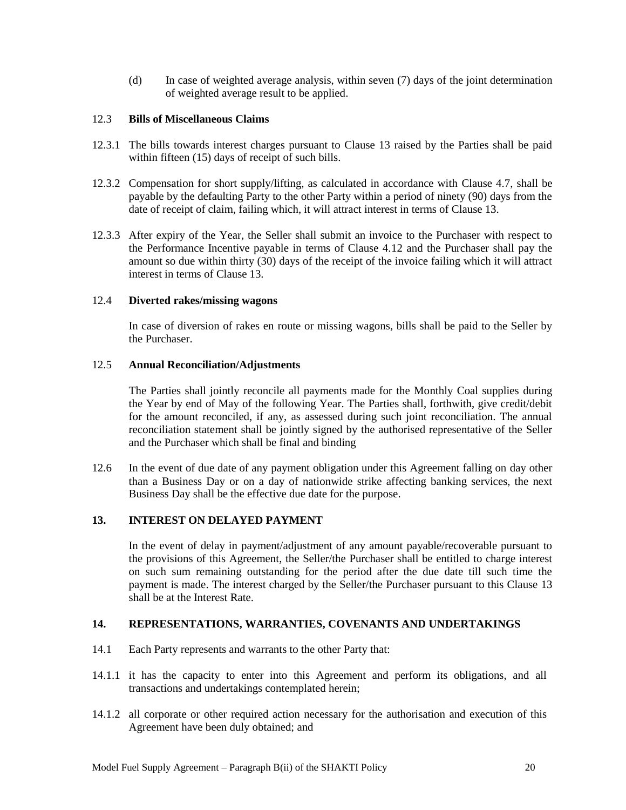(d) In case of weighted average analysis, within seven (7) days of the joint determination of weighted average result to be applied.

#### 12.3 **Bills of Miscellaneous Claims**

- 12.3.1 The bills towards interest charges pursuant to Clause 13 raised by the Parties shall be paid within fifteen (15) days of receipt of such bills.
- 12.3.2 Compensation for short supply/lifting, as calculated in accordance with Clause 4.7, shall be payable by the defaulting Party to the other Party within a period of ninety (90) days from the date of receipt of claim, failing which, it will attract interest in terms of Clause 13.
- 12.3.3 After expiry of the Year, the Seller shall submit an invoice to the Purchaser with respect to the Performance Incentive payable in terms of Clause 4.12 and the Purchaser shall pay the amount so due within thirty (30) days of the receipt of the invoice failing which it will attract interest in terms of Clause 13.

#### 12.4 **Diverted rakes/missing wagons**

In case of diversion of rakes en route or missing wagons, bills shall be paid to the Seller by the Purchaser.

#### 12.5 **Annual Reconciliation/Adjustments**

The Parties shall jointly reconcile all payments made for the Monthly Coal supplies during the Year by end of May of the following Year. The Parties shall, forthwith, give credit/debit for the amount reconciled, if any, as assessed during such joint reconciliation. The annual reconciliation statement shall be jointly signed by the authorised representative of the Seller and the Purchaser which shall be final and binding

12.6 In the event of due date of any payment obligation under this Agreement falling on day other than a Business Day or on a day of nationwide strike affecting banking services, the next Business Day shall be the effective due date for the purpose.

## <span id="page-21-0"></span>**13. INTEREST ON DELAYED PAYMENT**

In the event of delay in payment/adjustment of any amount payable/recoverable pursuant to the provisions of this Agreement, the Seller/the Purchaser shall be entitled to charge interest on such sum remaining outstanding for the period after the due date till such time the payment is made. The interest charged by the Seller/the Purchaser pursuant to this Clause 13 shall be at the Interest Rate.

#### <span id="page-21-1"></span>**14. REPRESENTATIONS, WARRANTIES, COVENANTS AND UNDERTAKINGS**

- 14.1 Each Party represents and warrants to the other Party that:
- 14.1.1 it has the capacity to enter into this Agreement and perform its obligations, and all transactions and undertakings contemplated herein;
- 14.1.2 all corporate or other required action necessary for the authorisation and execution of this Agreement have been duly obtained; and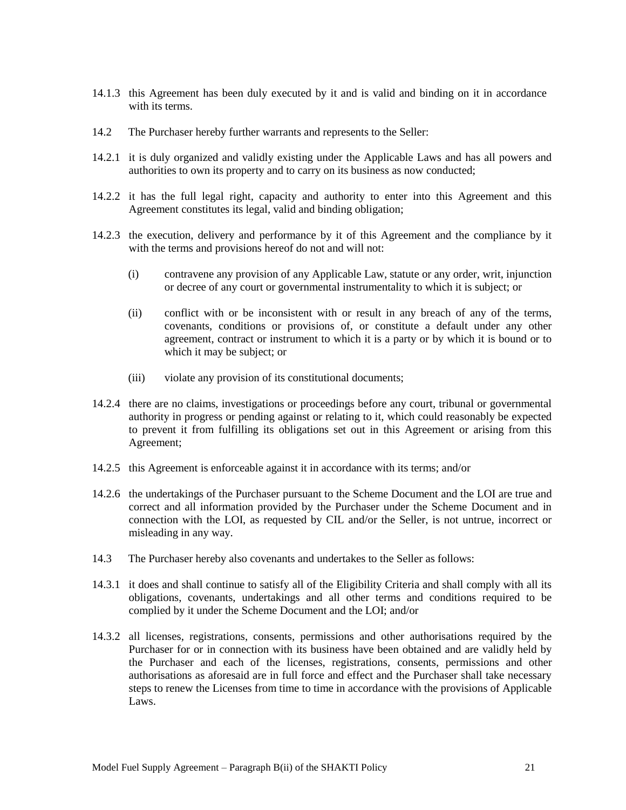- 14.1.3 this Agreement has been duly executed by it and is valid and binding on it in accordance with its terms.
- 14.2 The Purchaser hereby further warrants and represents to the Seller:
- 14.2.1 it is duly organized and validly existing under the Applicable Laws and has all powers and authorities to own its property and to carry on its business as now conducted;
- 14.2.2 it has the full legal right, capacity and authority to enter into this Agreement and this Agreement constitutes its legal, valid and binding obligation;
- 14.2.3 the execution, delivery and performance by it of this Agreement and the compliance by it with the terms and provisions hereof do not and will not:
	- (i) contravene any provision of any Applicable Law, statute or any order, writ, injunction or decree of any court or governmental instrumentality to which it is subject; or
	- (ii) conflict with or be inconsistent with or result in any breach of any of the terms, covenants, conditions or provisions of, or constitute a default under any other agreement, contract or instrument to which it is a party or by which it is bound or to which it may be subject; or
	- (iii) violate any provision of its constitutional documents;
- 14.2.4 there are no claims, investigations or proceedings before any court, tribunal or governmental authority in progress or pending against or relating to it, which could reasonably be expected to prevent it from fulfilling its obligations set out in this Agreement or arising from this Agreement;
- 14.2.5 this Agreement is enforceable against it in accordance with its terms; and/or
- 14.2.6 the undertakings of the Purchaser pursuant to the Scheme Document and the LOI are true and correct and all information provided by the Purchaser under the Scheme Document and in connection with the LOI, as requested by CIL and/or the Seller, is not untrue, incorrect or misleading in any way.
- 14.3 The Purchaser hereby also covenants and undertakes to the Seller as follows:
- 14.3.1 it does and shall continue to satisfy all of the Eligibility Criteria and shall comply with all its obligations, covenants, undertakings and all other terms and conditions required to be complied by it under the Scheme Document and the LOI; and/or
- 14.3.2 all licenses, registrations, consents, permissions and other authorisations required by the Purchaser for or in connection with its business have been obtained and are validly held by the Purchaser and each of the licenses, registrations, consents, permissions and other authorisations as aforesaid are in full force and effect and the Purchaser shall take necessary steps to renew the Licenses from time to time in accordance with the provisions of Applicable Laws.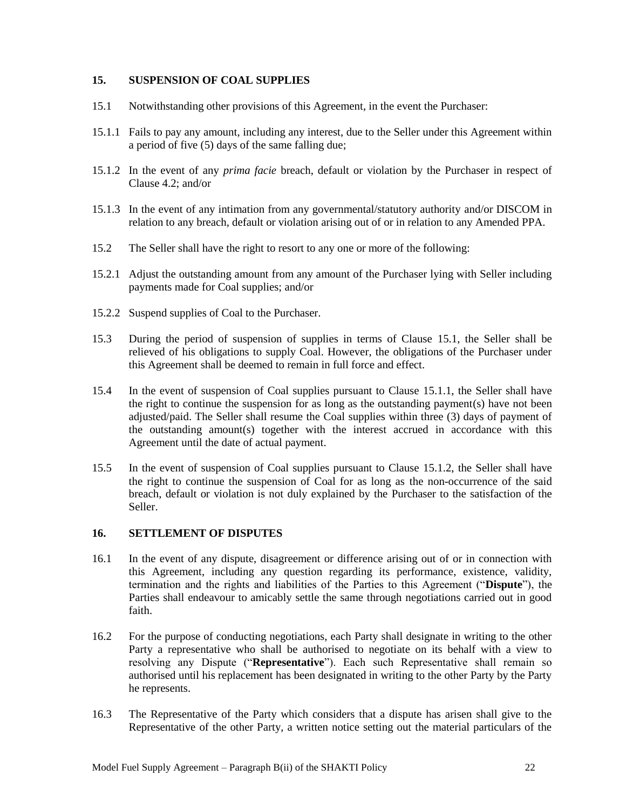#### <span id="page-23-0"></span>**15. SUSPENSION OF COAL SUPPLIES**

- 15.1 Notwithstanding other provisions of this Agreement, in the event the Purchaser:
- 15.1.1 Fails to pay any amount, including any interest, due to the Seller under this Agreement within a period of five (5) days of the same falling due;
- 15.1.2 In the event of any *prima facie* breach, default or violation by the Purchaser in respect of Clause 4.2; and/or
- 15.1.3 In the event of any intimation from any governmental/statutory authority and/or DISCOM in relation to any breach, default or violation arising out of or in relation to any Amended PPA.
- 15.2 The Seller shall have the right to resort to any one or more of the following:
- 15.2.1 Adjust the outstanding amount from any amount of the Purchaser lying with Seller including payments made for Coal supplies; and/or
- 15.2.2 Suspend supplies of Coal to the Purchaser.
- 15.3 During the period of suspension of supplies in terms of Clause 15.1, the Seller shall be relieved of his obligations to supply Coal. However, the obligations of the Purchaser under this Agreement shall be deemed to remain in full force and effect.
- 15.4 In the event of suspension of Coal supplies pursuant to Clause 15.1.1, the Seller shall have the right to continue the suspension for as long as the outstanding payment(s) have not been adjusted/paid. The Seller shall resume the Coal supplies within three (3) days of payment of the outstanding amount(s) together with the interest accrued in accordance with this Agreement until the date of actual payment.
- 15.5 In the event of suspension of Coal supplies pursuant to Clause 15.1.2, the Seller shall have the right to continue the suspension of Coal for as long as the non-occurrence of the said breach, default or violation is not duly explained by the Purchaser to the satisfaction of the Seller.

#### <span id="page-23-1"></span>**16. SETTLEMENT OF DISPUTES**

- 16.1 In the event of any dispute, disagreement or difference arising out of or in connection with this Agreement, including any question regarding its performance, existence, validity, termination and the rights and liabilities of the Parties to this Agreement ("**Dispute**"), the Parties shall endeavour to amicably settle the same through negotiations carried out in good faith.
- 16.2 For the purpose of conducting negotiations, each Party shall designate in writing to the other Party a representative who shall be authorised to negotiate on its behalf with a view to resolving any Dispute ("**Representative**"). Each such Representative shall remain so authorised until his replacement has been designated in writing to the other Party by the Party he represents.
- 16.3 The Representative of the Party which considers that a dispute has arisen shall give to the Representative of the other Party, a written notice setting out the material particulars of the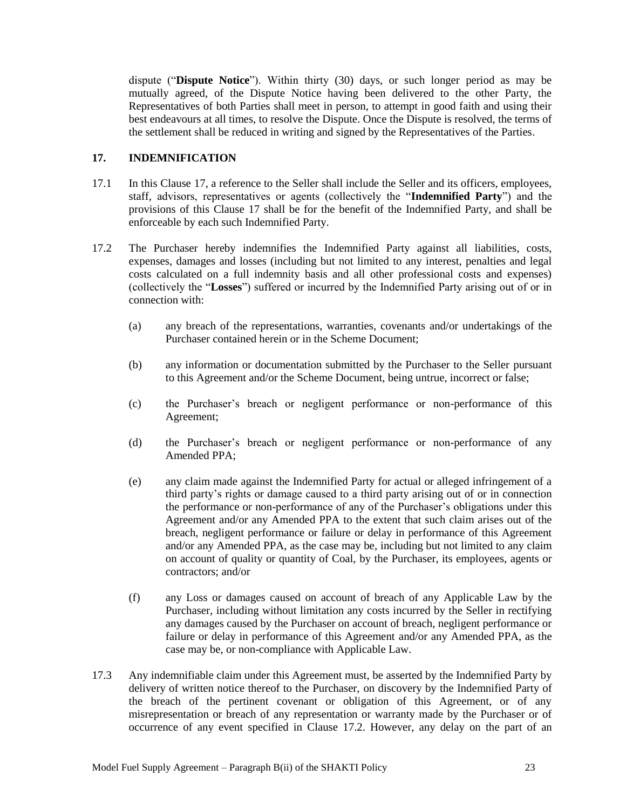dispute ("**Dispute Notice**"). Within thirty (30) days, or such longer period as may be mutually agreed, of the Dispute Notice having been delivered to the other Party, the Representatives of both Parties shall meet in person, to attempt in good faith and using their best endeavours at all times, to resolve the Dispute. Once the Dispute is resolved, the terms of the settlement shall be reduced in writing and signed by the Representatives of the Parties.

## <span id="page-24-0"></span>**17. INDEMNIFICATION**

- 17.1 In this Clause 17, a reference to the Seller shall include the Seller and its officers, employees, staff, advisors, representatives or agents (collectively the "**Indemnified Party**") and the provisions of this Clause 17 shall be for the benefit of the Indemnified Party, and shall be enforceable by each such Indemnified Party.
- 17.2 The Purchaser hereby indemnifies the Indemnified Party against all liabilities, costs, expenses, damages and losses (including but not limited to any interest, penalties and legal costs calculated on a full indemnity basis and all other professional costs and expenses) (collectively the "**Losses**") suffered or incurred by the Indemnified Party arising out of or in connection with:
	- (a) any breach of the representations, warranties, covenants and/or undertakings of the Purchaser contained herein or in the Scheme Document;
	- (b) any information or documentation submitted by the Purchaser to the Seller pursuant to this Agreement and/or the Scheme Document, being untrue, incorrect or false;
	- (c) the Purchaser"s breach or negligent performance or non-performance of this Agreement;
	- (d) the Purchaser"s breach or negligent performance or non-performance of any Amended PPA;
	- (e) any claim made against the Indemnified Party for actual or alleged infringement of a third party"s rights or damage caused to a third party arising out of or in connection the performance or non-performance of any of the Purchaser's obligations under this Agreement and/or any Amended PPA to the extent that such claim arises out of the breach, negligent performance or failure or delay in performance of this Agreement and/or any Amended PPA, as the case may be, including but not limited to any claim on account of quality or quantity of Coal, by the Purchaser, its employees, agents or contractors; and/or
	- (f) any Loss or damages caused on account of breach of any Applicable Law by the Purchaser, including without limitation any costs incurred by the Seller in rectifying any damages caused by the Purchaser on account of breach, negligent performance or failure or delay in performance of this Agreement and/or any Amended PPA, as the case may be, or non-compliance with Applicable Law.
- 17.3 Any indemnifiable claim under this Agreement must, be asserted by the Indemnified Party by delivery of written notice thereof to the Purchaser, on discovery by the Indemnified Party of the breach of the pertinent covenant or obligation of this Agreement, or of any misrepresentation or breach of any representation or warranty made by the Purchaser or of occurrence of any event specified in Clause 17.2. However, any delay on the part of an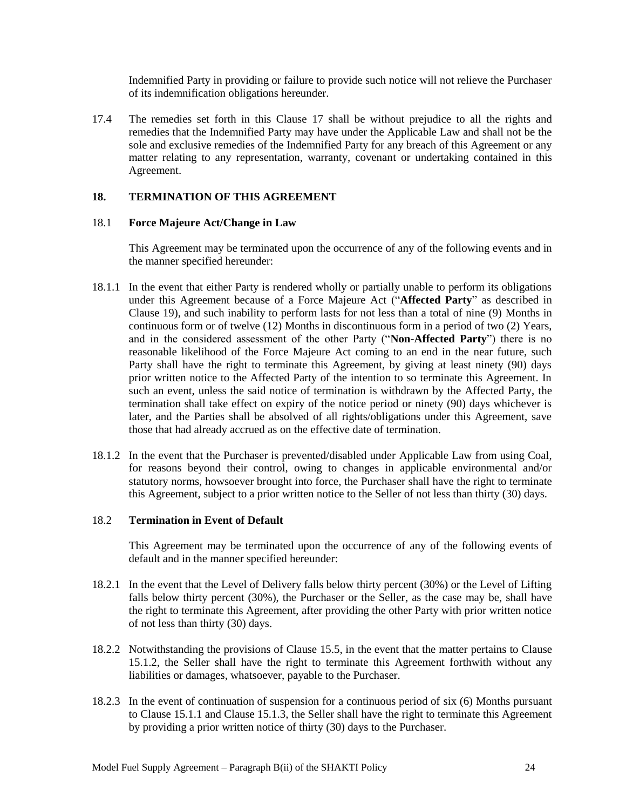Indemnified Party in providing or failure to provide such notice will not relieve the Purchaser of its indemnification obligations hereunder.

17.4 The remedies set forth in this Clause 17 shall be without prejudice to all the rights and remedies that the Indemnified Party may have under the Applicable Law and shall not be the sole and exclusive remedies of the Indemnified Party for any breach of this Agreement or any matter relating to any representation, warranty, covenant or undertaking contained in this Agreement.

## <span id="page-25-0"></span>**18. TERMINATION OF THIS AGREEMENT**

#### 18.1 **Force Majeure Act/Change in Law**

This Agreement may be terminated upon the occurrence of any of the following events and in the manner specified hereunder:

- 18.1.1 In the event that either Party is rendered wholly or partially unable to perform its obligations under this Agreement because of a Force Majeure Act ("**Affected Party**" as described in Clause 19), and such inability to perform lasts for not less than a total of nine (9) Months in continuous form or of twelve (12) Months in discontinuous form in a period of two (2) Years, and in the considered assessment of the other Party ("**Non-Affected Party**") there is no reasonable likelihood of the Force Majeure Act coming to an end in the near future, such Party shall have the right to terminate this Agreement, by giving at least ninety (90) days prior written notice to the Affected Party of the intention to so terminate this Agreement. In such an event, unless the said notice of termination is withdrawn by the Affected Party, the termination shall take effect on expiry of the notice period or ninety (90) days whichever is later, and the Parties shall be absolved of all rights/obligations under this Agreement, save those that had already accrued as on the effective date of termination.
- 18.1.2 In the event that the Purchaser is prevented/disabled under Applicable Law from using Coal, for reasons beyond their control, owing to changes in applicable environmental and/or statutory norms, howsoever brought into force, the Purchaser shall have the right to terminate this Agreement, subject to a prior written notice to the Seller of not less than thirty (30) days.

#### 18.2 **Termination in Event of Default**

This Agreement may be terminated upon the occurrence of any of the following events of default and in the manner specified hereunder:

- 18.2.1 In the event that the Level of Delivery falls below thirty percent (30%) or the Level of Lifting falls below thirty percent (30%), the Purchaser or the Seller, as the case may be, shall have the right to terminate this Agreement, after providing the other Party with prior written notice of not less than thirty (30) days.
- 18.2.2 Notwithstanding the provisions of Clause 15.5, in the event that the matter pertains to Clause 15.1.2, the Seller shall have the right to terminate this Agreement forthwith without any liabilities or damages, whatsoever, payable to the Purchaser.
- 18.2.3 In the event of continuation of suspension for a continuous period of six (6) Months pursuant to Clause 15.1.1 and Clause 15.1.3, the Seller shall have the right to terminate this Agreement by providing a prior written notice of thirty (30) days to the Purchaser.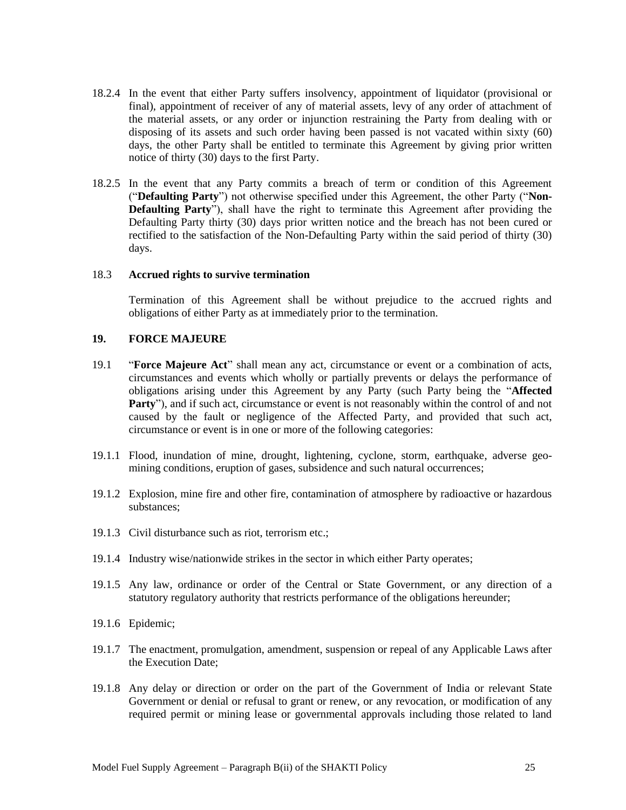- 18.2.4 In the event that either Party suffers insolvency, appointment of liquidator (provisional or final), appointment of receiver of any of material assets, levy of any order of attachment of the material assets, or any order or injunction restraining the Party from dealing with or disposing of its assets and such order having been passed is not vacated within sixty (60) days, the other Party shall be entitled to terminate this Agreement by giving prior written notice of thirty (30) days to the first Party.
- 18.2.5 In the event that any Party commits a breach of term or condition of this Agreement ("**Defaulting Party**") not otherwise specified under this Agreement, the other Party ("**Non-Defaulting Party**"), shall have the right to terminate this Agreement after providing the Defaulting Party thirty (30) days prior written notice and the breach has not been cured or rectified to the satisfaction of the Non-Defaulting Party within the said period of thirty (30) days.

#### 18.3 **Accrued rights to survive termination**

Termination of this Agreement shall be without prejudice to the accrued rights and obligations of either Party as at immediately prior to the termination.

## <span id="page-26-0"></span>**19. FORCE MAJEURE**

- 19.1 "**Force Majeure Act**" shall mean any act, circumstance or event or a combination of acts, circumstances and events which wholly or partially prevents or delays the performance of obligations arising under this Agreement by any Party (such Party being the "**Affected Party**"), and if such act, circumstance or event is not reasonably within the control of and not caused by the fault or negligence of the Affected Party, and provided that such act, circumstance or event is in one or more of the following categories:
- 19.1.1 Flood, inundation of mine, drought, lightening, cyclone, storm, earthquake, adverse geomining conditions, eruption of gases, subsidence and such natural occurrences;
- 19.1.2 Explosion, mine fire and other fire, contamination of atmosphere by radioactive or hazardous substances;
- 19.1.3 Civil disturbance such as riot, terrorism etc.;
- 19.1.4 Industry wise/nationwide strikes in the sector in which either Party operates;
- 19.1.5 Any law, ordinance or order of the Central or State Government, or any direction of a statutory regulatory authority that restricts performance of the obligations hereunder;
- 19.1.6 Epidemic;
- 19.1.7 The enactment, promulgation, amendment, suspension or repeal of any Applicable Laws after the Execution Date;
- 19.1.8 Any delay or direction or order on the part of the Government of India or relevant State Government or denial or refusal to grant or renew, or any revocation, or modification of any required permit or mining lease or governmental approvals including those related to land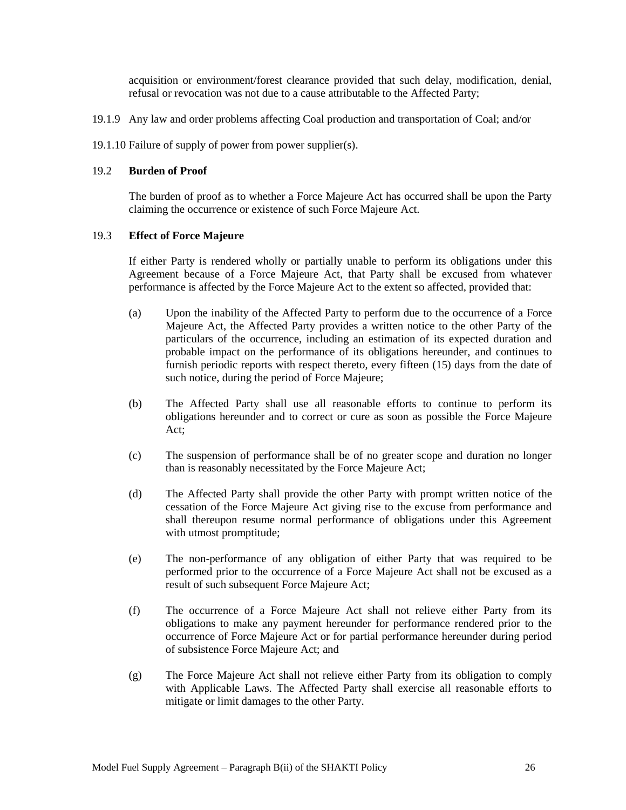acquisition or environment/forest clearance provided that such delay, modification, denial, refusal or revocation was not due to a cause attributable to the Affected Party;

- 19.1.9 Any law and order problems affecting Coal production and transportation of Coal; and/or
- 19.1.10 Failure of supply of power from power supplier(s).

#### 19.2 **Burden of Proof**

The burden of proof as to whether a Force Majeure Act has occurred shall be upon the Party claiming the occurrence or existence of such Force Majeure Act.

#### 19.3 **Effect of Force Majeure**

If either Party is rendered wholly or partially unable to perform its obligations under this Agreement because of a Force Majeure Act, that Party shall be excused from whatever performance is affected by the Force Majeure Act to the extent so affected, provided that:

- (a) Upon the inability of the Affected Party to perform due to the occurrence of a Force Majeure Act, the Affected Party provides a written notice to the other Party of the particulars of the occurrence, including an estimation of its expected duration and probable impact on the performance of its obligations hereunder, and continues to furnish periodic reports with respect thereto, every fifteen (15) days from the date of such notice, during the period of Force Majeure;
- (b) The Affected Party shall use all reasonable efforts to continue to perform its obligations hereunder and to correct or cure as soon as possible the Force Majeure Act;
- (c) The suspension of performance shall be of no greater scope and duration no longer than is reasonably necessitated by the Force Majeure Act;
- (d) The Affected Party shall provide the other Party with prompt written notice of the cessation of the Force Majeure Act giving rise to the excuse from performance and shall thereupon resume normal performance of obligations under this Agreement with utmost promptitude;
- (e) The non-performance of any obligation of either Party that was required to be performed prior to the occurrence of a Force Majeure Act shall not be excused as a result of such subsequent Force Majeure Act;
- (f) The occurrence of a Force Majeure Act shall not relieve either Party from its obligations to make any payment hereunder for performance rendered prior to the occurrence of Force Majeure Act or for partial performance hereunder during period of subsistence Force Majeure Act; and
- (g) The Force Majeure Act shall not relieve either Party from its obligation to comply with Applicable Laws. The Affected Party shall exercise all reasonable efforts to mitigate or limit damages to the other Party.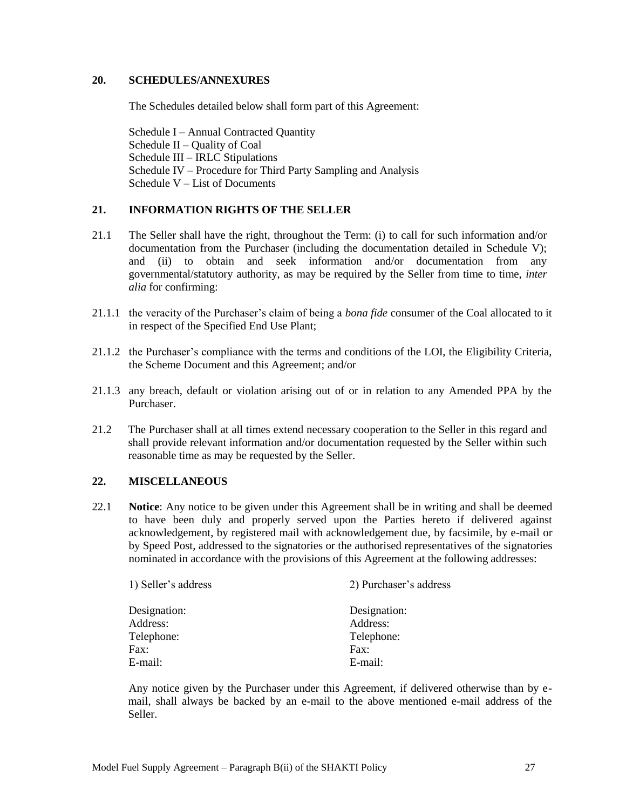## <span id="page-28-0"></span>**20. SCHEDULES/ANNEXURES**

The Schedules detailed below shall form part of this Agreement:

Schedule I – Annual Contracted Quantity Schedule II – Quality of Coal Schedule III – IRLC Stipulations Schedule IV – Procedure for Third Party Sampling and Analysis Schedule V – List of Documents

#### <span id="page-28-1"></span>**21. INFORMATION RIGHTS OF THE SELLER**

- 21.1 The Seller shall have the right, throughout the Term: (i) to call for such information and/or documentation from the Purchaser (including the documentation detailed in Schedule V); and (ii) to obtain and seek information and/or documentation from any governmental/statutory authority, as may be required by the Seller from time to time, *inter alia* for confirming:
- 21.1.1 the veracity of the Purchaser"s claim of being a *bona fide* consumer of the Coal allocated to it in respect of the Specified End Use Plant;
- 21.1.2 the Purchaser"s compliance with the terms and conditions of the LOI, the Eligibility Criteria, the Scheme Document and this Agreement; and/or
- 21.1.3 any breach, default or violation arising out of or in relation to any Amended PPA by the Purchaser.
- 21.2 The Purchaser shall at all times extend necessary cooperation to the Seller in this regard and shall provide relevant information and/or documentation requested by the Seller within such reasonable time as may be requested by the Seller.

#### <span id="page-28-2"></span>**22. MISCELLANEOUS**

22.1 **Notice**: Any notice to be given under this Agreement shall be in writing and shall be deemed to have been duly and properly served upon the Parties hereto if delivered against acknowledgement, by registered mail with acknowledgement due, by facsimile, by e-mail or by Speed Post, addressed to the signatories or the authorised representatives of the signatories nominated in accordance with the provisions of this Agreement at the following addresses:

| 1) Seller's address | 2) Purchaser's address |  |
|---------------------|------------------------|--|
| Designation:        | Designation:           |  |
| Address:            | Address:               |  |
| Telephone:          | Telephone:             |  |
| Fax:                | Fax:                   |  |
| E-mail:             | E-mail:                |  |

Any notice given by the Purchaser under this Agreement, if delivered otherwise than by email, shall always be backed by an e-mail to the above mentioned e-mail address of the Seller.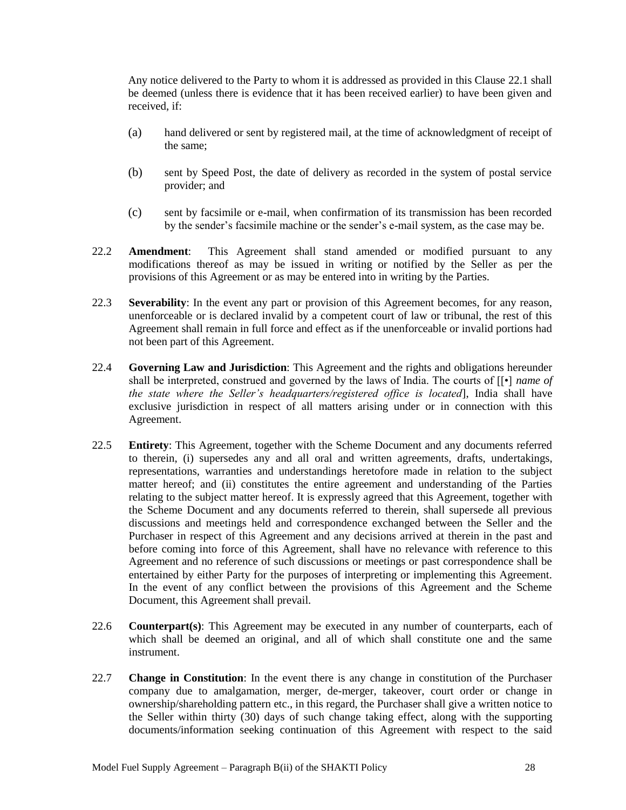Any notice delivered to the Party to whom it is addressed as provided in this Clause 22.1 shall be deemed (unless there is evidence that it has been received earlier) to have been given and received, if:

- (a) hand delivered or sent by registered mail, at the time of acknowledgment of receipt of the same;
- (b) sent by Speed Post, the date of delivery as recorded in the system of postal service provider; and
- (c) sent by facsimile or e-mail, when confirmation of its transmission has been recorded by the sender"s facsimile machine or the sender"s e-mail system, as the case may be.
- 22.2 **Amendment**: This Agreement shall stand amended or modified pursuant to any modifications thereof as may be issued in writing or notified by the Seller as per the provisions of this Agreement or as may be entered into in writing by the Parties.
- 22.3 **Severability**: In the event any part or provision of this Agreement becomes, for any reason, unenforceable or is declared invalid by a competent court of law or tribunal, the rest of this Agreement shall remain in full force and effect as if the unenforceable or invalid portions had not been part of this Agreement.
- 22.4 **Governing Law and Jurisdiction**: This Agreement and the rights and obligations hereunder shall be interpreted, construed and governed by the laws of India. The courts of [[•] *name of the state where the Seller's headquarters/registered office is located*], India shall have exclusive jurisdiction in respect of all matters arising under or in connection with this Agreement.
- 22.5 **Entirety**: This Agreement, together with the Scheme Document and any documents referred to therein, (i) supersedes any and all oral and written agreements, drafts, undertakings, representations, warranties and understandings heretofore made in relation to the subject matter hereof; and (ii) constitutes the entire agreement and understanding of the Parties relating to the subject matter hereof. It is expressly agreed that this Agreement, together with the Scheme Document and any documents referred to therein, shall supersede all previous discussions and meetings held and correspondence exchanged between the Seller and the Purchaser in respect of this Agreement and any decisions arrived at therein in the past and before coming into force of this Agreement, shall have no relevance with reference to this Agreement and no reference of such discussions or meetings or past correspondence shall be entertained by either Party for the purposes of interpreting or implementing this Agreement. In the event of any conflict between the provisions of this Agreement and the Scheme Document, this Agreement shall prevail.
- 22.6 **Counterpart(s)**: This Agreement may be executed in any number of counterparts, each of which shall be deemed an original, and all of which shall constitute one and the same instrument.
- 22.7 **Change in Constitution**: In the event there is any change in constitution of the Purchaser company due to amalgamation, merger, de-merger, takeover, court order or change in ownership/shareholding pattern etc., in this regard, the Purchaser shall give a written notice to the Seller within thirty (30) days of such change taking effect, along with the supporting documents/information seeking continuation of this Agreement with respect to the said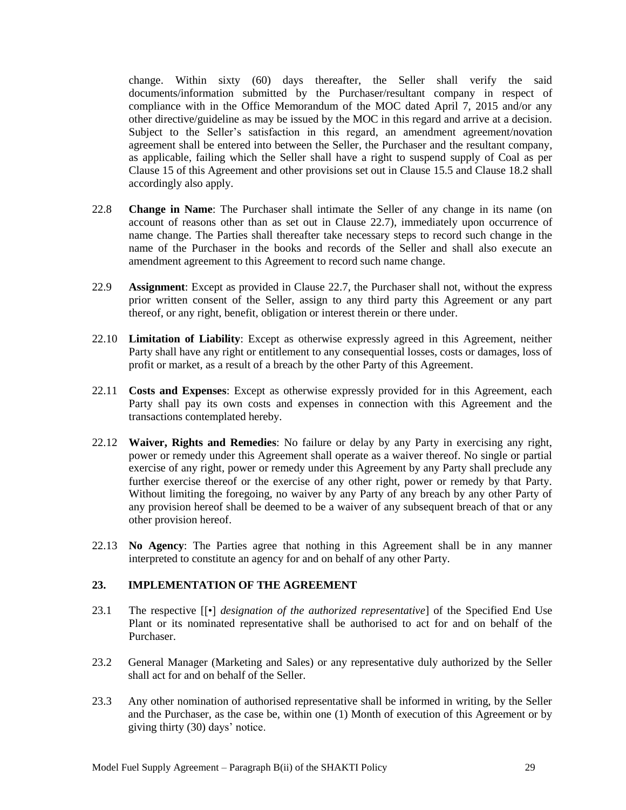change. Within sixty (60) days thereafter, the Seller shall verify the said documents/information submitted by the Purchaser/resultant company in respect of compliance with in the Office Memorandum of the MOC dated April 7, 2015 and/or any other directive/guideline as may be issued by the MOC in this regard and arrive at a decision. Subject to the Seller's satisfaction in this regard, an amendment agreement/novation agreement shall be entered into between the Seller, the Purchaser and the resultant company, as applicable, failing which the Seller shall have a right to suspend supply of Coal as per Clause 15 of this Agreement and other provisions set out in Clause 15.5 and Clause 18.2 shall accordingly also apply.

- 22.8 **Change in Name**: The Purchaser shall intimate the Seller of any change in its name (on account of reasons other than as set out in Clause 22.7), immediately upon occurrence of name change. The Parties shall thereafter take necessary steps to record such change in the name of the Purchaser in the books and records of the Seller and shall also execute an amendment agreement to this Agreement to record such name change.
- 22.9 **Assignment**: Except as provided in Clause 22.7, the Purchaser shall not, without the express prior written consent of the Seller, assign to any third party this Agreement or any part thereof, or any right, benefit, obligation or interest therein or there under.
- 22.10 **Limitation of Liability**: Except as otherwise expressly agreed in this Agreement, neither Party shall have any right or entitlement to any consequential losses, costs or damages, loss of profit or market, as a result of a breach by the other Party of this Agreement.
- 22.11 **Costs and Expenses**: Except as otherwise expressly provided for in this Agreement, each Party shall pay its own costs and expenses in connection with this Agreement and the transactions contemplated hereby.
- 22.12 **Waiver, Rights and Remedies**: No failure or delay by any Party in exercising any right, power or remedy under this Agreement shall operate as a waiver thereof. No single or partial exercise of any right, power or remedy under this Agreement by any Party shall preclude any further exercise thereof or the exercise of any other right, power or remedy by that Party. Without limiting the foregoing, no waiver by any Party of any breach by any other Party of any provision hereof shall be deemed to be a waiver of any subsequent breach of that or any other provision hereof.
- 22.13 **No Agency**: The Parties agree that nothing in this Agreement shall be in any manner interpreted to constitute an agency for and on behalf of any other Party.

## <span id="page-30-0"></span>**23. IMPLEMENTATION OF THE AGREEMENT**

- 23.1 The respective [[•] *designation of the authorized representative*] of the Specified End Use Plant or its nominated representative shall be authorised to act for and on behalf of the Purchaser.
- 23.2 General Manager (Marketing and Sales) or any representative duly authorized by the Seller shall act for and on behalf of the Seller.
- 23.3 Any other nomination of authorised representative shall be informed in writing, by the Seller and the Purchaser, as the case be, within one (1) Month of execution of this Agreement or by giving thirty (30) days" notice.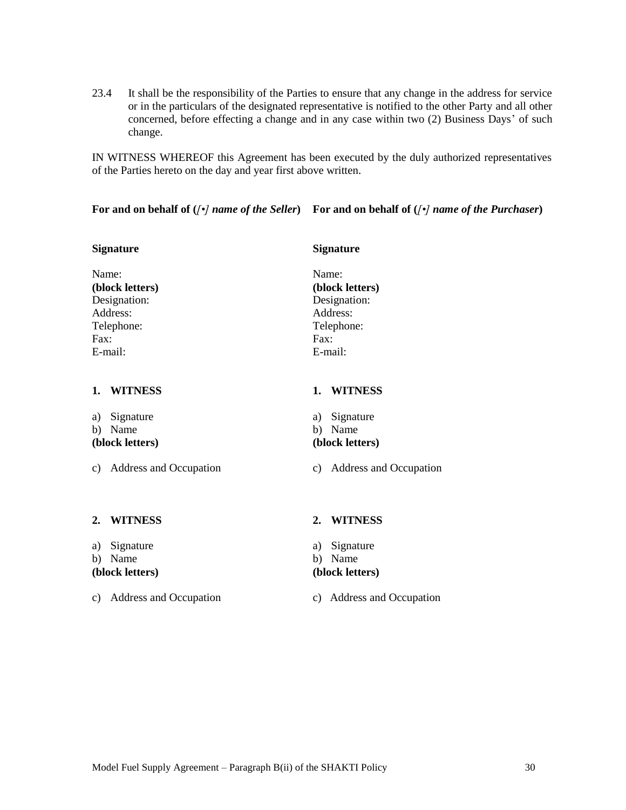23.4 It shall be the responsibility of the Parties to ensure that any change in the address for service or in the particulars of the designated representative is notified to the other Party and all other concerned, before effecting a change and in any case within two (2) Business Days" of such change.

IN WITNESS WHEREOF this Agreement has been executed by the duly authorized representatives of the Parties hereto on the day and year first above written.

**For and on behalf of (***[•] name of the Seller***) For and on behalf of (***[•] name of the Purchaser***)**

# **Signature Signature Signature** Name: Name: **(block letters) (block letters)** Designation: Designation: Address: Address: Telephone: Telephone: Fax: Fax: E-mail: E-mail: **1. WITNESS 1. WITNESS** a) Signature a) Signature b) Name b) Name **(block letters) (block letters)** c) Address and Occupation c) Address and Occupation **2. WITNESS 2. WITNESS**

a) Signature a) Signature

b) Name b) Name

#### **(block letters) (block letters)**

c) Address and Occupation c) Address and Occupation

Model Fuel Supply Agreement – Paragraph B(ii) of the SHAKTI Policy 30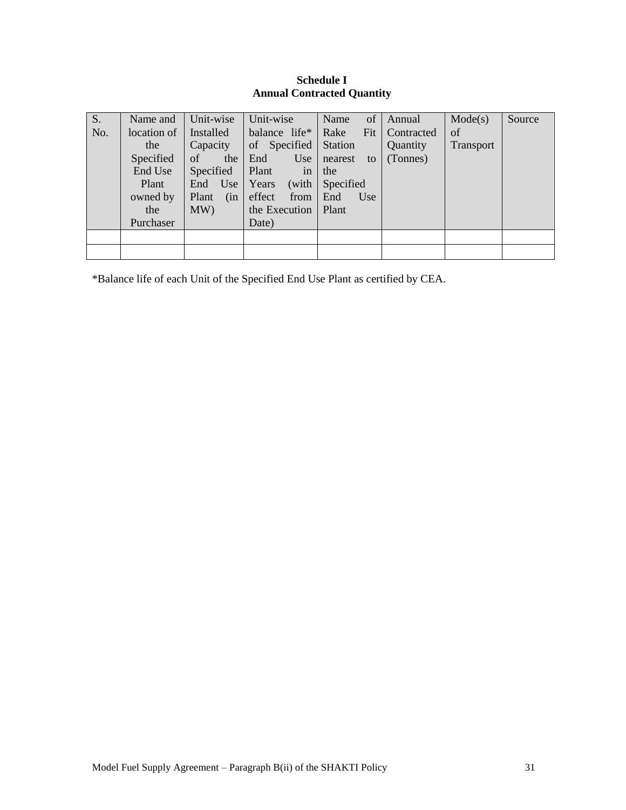#### **Schedule I Annual Contracted Quantity**

<span id="page-32-0"></span>

| S.  | Name and    | Unit-wise    | Unit-wise                | of<br>Name     | Annual     | Mode(s)   | Source |
|-----|-------------|--------------|--------------------------|----------------|------------|-----------|--------|
| No. | location of | Installed    | balance life*            | Fit<br>Rake    | Contracted | of        |        |
|     | the         | Capacity     | of Specified $\vert$     | Station        | Quantity   | Transport |        |
|     | Specified   | of the       | End                      | Use nearest to | (Tonnes)   |           |        |
|     | End Use     | Specified    | Plant<br>in <sup>7</sup> | the            |            |           |        |
|     | Plant       | End Use      | Years<br>(with           | Specified      |            |           |        |
|     | owned by    | (in<br>Plant | effect<br>from           | Use<br>End     |            |           |        |
|     | the         | MW)          | the Execution   Plant    |                |            |           |        |
|     | Purchaser   |              | Date)                    |                |            |           |        |
|     |             |              |                          |                |            |           |        |
|     |             |              |                          |                |            |           |        |

\*Balance life of each Unit of the Specified End Use Plant as certified by CEA.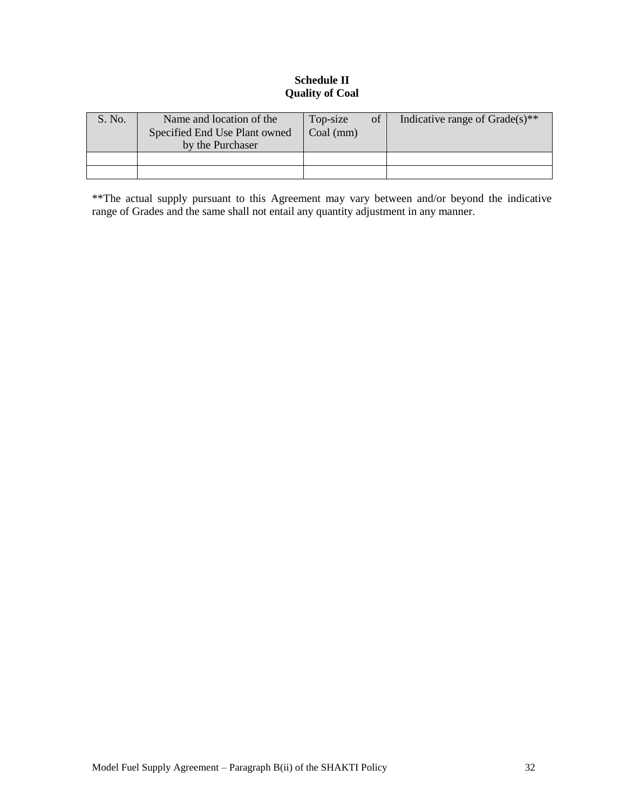## **Schedule II Quality of Coal**

<span id="page-33-0"></span>

| S. No. | Name and location of the<br>Specified End Use Plant owned<br>by the Purchaser | of<br>Top-size<br>$Coal$ (mm) | Indicative range of $Grade(s)$ <sup>**</sup> |
|--------|-------------------------------------------------------------------------------|-------------------------------|----------------------------------------------|
|        |                                                                               |                               |                                              |
|        |                                                                               |                               |                                              |

\*\*The actual supply pursuant to this Agreement may vary between and/or beyond the indicative range of Grades and the same shall not entail any quantity adjustment in any manner.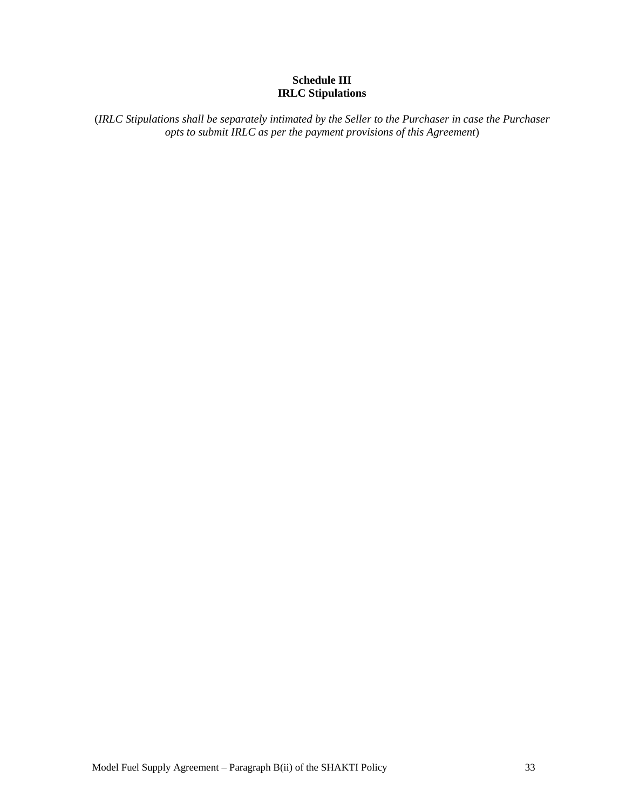## **Schedule III IRLC Stipulations**

<span id="page-34-0"></span>(*IRLC Stipulations shall be separately intimated by the Seller to the Purchaser in case the Purchaser opts to submit IRLC as per the payment provisions of this Agreement*)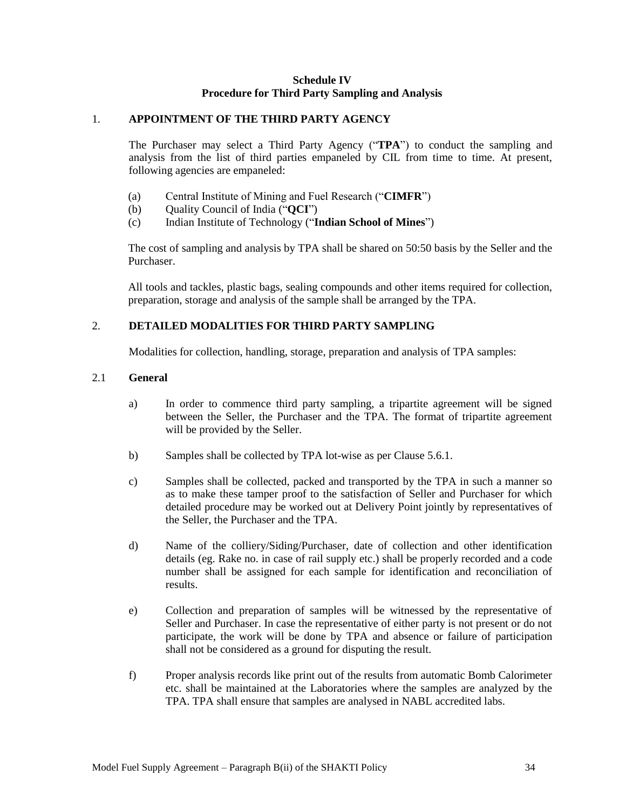#### **Schedule IV Procedure for Third Party Sampling and Analysis**

#### <span id="page-35-0"></span>1. **APPOINTMENT OF THE THIRD PARTY AGENCY**

The Purchaser may select a Third Party Agency ("**TPA**") to conduct the sampling and analysis from the list of third parties empaneled by CIL from time to time. At present, following agencies are empaneled:

- (a) Central Institute of Mining and Fuel Research ("**CIMFR**")
- (b) Quality Council of India ("**QCI**")
- (c) Indian Institute of Technology ("**Indian School of Mines**")

The cost of sampling and analysis by TPA shall be shared on 50:50 basis by the Seller and the Purchaser.

All tools and tackles, plastic bags, sealing compounds and other items required for collection, preparation, storage and analysis of the sample shall be arranged by the TPA.

## 2. **DETAILED MODALITIES FOR THIRD PARTY SAMPLING**

Modalities for collection, handling, storage, preparation and analysis of TPA samples:

## 2.1 **General**

- a) In order to commence third party sampling, a tripartite agreement will be signed between the Seller, the Purchaser and the TPA. The format of tripartite agreement will be provided by the Seller.
- b) Samples shall be collected by TPA lot-wise as per Clause 5.6.1.
- c) Samples shall be collected, packed and transported by the TPA in such a manner so as to make these tamper proof to the satisfaction of Seller and Purchaser for which detailed procedure may be worked out at Delivery Point jointly by representatives of the Seller, the Purchaser and the TPA.
- d) Name of the colliery/Siding/Purchaser, date of collection and other identification details (eg. Rake no. in case of rail supply etc.) shall be properly recorded and a code number shall be assigned for each sample for identification and reconciliation of results.
- e) Collection and preparation of samples will be witnessed by the representative of Seller and Purchaser. In case the representative of either party is not present or do not participate, the work will be done by TPA and absence or failure of participation shall not be considered as a ground for disputing the result.
- f) Proper analysis records like print out of the results from automatic Bomb Calorimeter etc. shall be maintained at the Laboratories where the samples are analyzed by the TPA. TPA shall ensure that samples are analysed in NABL accredited labs.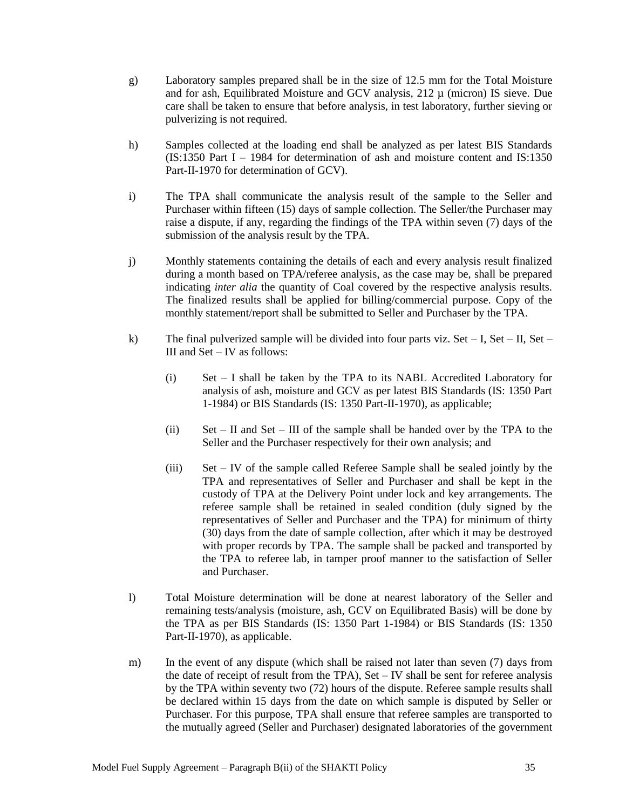- g) Laboratory samples prepared shall be in the size of 12.5 mm for the Total Moisture and for ash, Equilibrated Moisture and GCV analysis, 212 µ (micron) IS sieve. Due care shall be taken to ensure that before analysis, in test laboratory, further sieving or pulverizing is not required.
- h) Samples collected at the loading end shall be analyzed as per latest BIS Standards (IS:1350 Part I – 1984 for determination of ash and moisture content and IS:1350 Part-II-1970 for determination of GCV).
- i) The TPA shall communicate the analysis result of the sample to the Seller and Purchaser within fifteen (15) days of sample collection. The Seller/the Purchaser may raise a dispute, if any, regarding the findings of the TPA within seven (7) days of the submission of the analysis result by the TPA.
- j) Monthly statements containing the details of each and every analysis result finalized during a month based on TPA/referee analysis, as the case may be, shall be prepared indicating *inter alia* the quantity of Coal covered by the respective analysis results. The finalized results shall be applied for billing/commercial purpose. Copy of the monthly statement/report shall be submitted to Seller and Purchaser by the TPA.
- k) The final pulverized sample will be divided into four parts viz. Set I, Set II, Set III and Set – IV as follows:
	- (i) Set I shall be taken by the TPA to its NABL Accredited Laboratory for analysis of ash, moisture and GCV as per latest BIS Standards (IS: 1350 Part 1-1984) or BIS Standards (IS: 1350 Part-II-1970), as applicable;
	- (ii) Set II and Set III of the sample shall be handed over by the TPA to the Seller and the Purchaser respectively for their own analysis; and
	- (iii) Set IV of the sample called Referee Sample shall be sealed jointly by the TPA and representatives of Seller and Purchaser and shall be kept in the custody of TPA at the Delivery Point under lock and key arrangements. The referee sample shall be retained in sealed condition (duly signed by the representatives of Seller and Purchaser and the TPA) for minimum of thirty (30) days from the date of sample collection, after which it may be destroyed with proper records by TPA. The sample shall be packed and transported by the TPA to referee lab, in tamper proof manner to the satisfaction of Seller and Purchaser.
- l) Total Moisture determination will be done at nearest laboratory of the Seller and remaining tests/analysis (moisture, ash, GCV on Equilibrated Basis) will be done by the TPA as per BIS Standards (IS: 1350 Part 1-1984) or BIS Standards (IS: 1350 Part-II-1970), as applicable.
- m) In the event of any dispute (which shall be raised not later than seven (7) days from the date of receipt of result from the TPA), Set – IV shall be sent for referee analysis by the TPA within seventy two (72) hours of the dispute. Referee sample results shall be declared within 15 days from the date on which sample is disputed by Seller or Purchaser. For this purpose, TPA shall ensure that referee samples are transported to the mutually agreed (Seller and Purchaser) designated laboratories of the government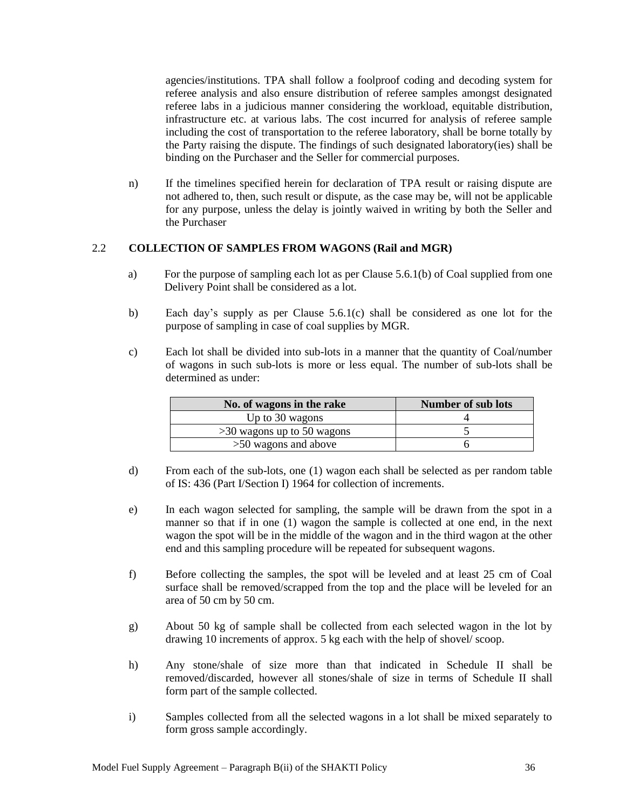agencies/institutions. TPA shall follow a foolproof coding and decoding system for referee analysis and also ensure distribution of referee samples amongst designated referee labs in a judicious manner considering the workload, equitable distribution, infrastructure etc. at various labs. The cost incurred for analysis of referee sample including the cost of transportation to the referee laboratory, shall be borne totally by the Party raising the dispute. The findings of such designated laboratory(ies) shall be binding on the Purchaser and the Seller for commercial purposes.

n) If the timelines specified herein for declaration of TPA result or raising dispute are not adhered to, then, such result or dispute, as the case may be, will not be applicable for any purpose, unless the delay is jointly waived in writing by both the Seller and the Purchaser

## 2.2 **COLLECTION OF SAMPLES FROM WAGONS (Rail and MGR)**

- a) For the purpose of sampling each lot as per Clause 5.6.1(b) of Coal supplied from one Delivery Point shall be considered as a lot.
- b) Each day"s supply as per Clause 5.6.1(c) shall be considered as one lot for the purpose of sampling in case of coal supplies by MGR.
- c) Each lot shall be divided into sub-lots in a manner that the quantity of Coal/number of wagons in such sub-lots is more or less equal. The number of sub-lots shall be determined as under:

| No. of wagons in the rake    | <b>Number of sub lots</b> |
|------------------------------|---------------------------|
| Up to 30 wagons              |                           |
| $>30$ wagons up to 50 wagons |                           |
| $>50$ wagons and above       |                           |

- d) From each of the sub-lots, one (1) wagon each shall be selected as per random table of IS: 436 (Part I/Section I) 1964 for collection of increments.
- e) In each wagon selected for sampling, the sample will be drawn from the spot in a manner so that if in one (1) wagon the sample is collected at one end, in the next wagon the spot will be in the middle of the wagon and in the third wagon at the other end and this sampling procedure will be repeated for subsequent wagons.
- f) Before collecting the samples, the spot will be leveled and at least 25 cm of Coal surface shall be removed/scrapped from the top and the place will be leveled for an area of 50 cm by 50 cm.
- g) About 50 kg of sample shall be collected from each selected wagon in the lot by drawing 10 increments of approx. 5 kg each with the help of shovel/ scoop.
- h) Any stone/shale of size more than that indicated in Schedule II shall be removed/discarded, however all stones/shale of size in terms of Schedule II shall form part of the sample collected.
- i) Samples collected from all the selected wagons in a lot shall be mixed separately to form gross sample accordingly.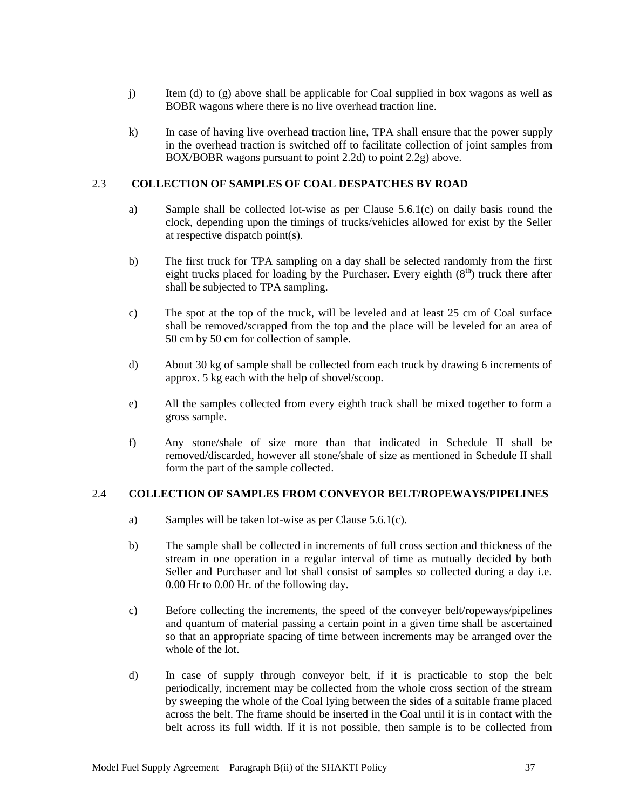- j) Item (d) to (g) above shall be applicable for Coal supplied in box wagons as well as BOBR wagons where there is no live overhead traction line.
- k) In case of having live overhead traction line, TPA shall ensure that the power supply in the overhead traction is switched off to facilitate collection of joint samples from BOX/BOBR wagons pursuant to point 2.2d) to point 2.2g) above.

#### 2.3 **COLLECTION OF SAMPLES OF COAL DESPATCHES BY ROAD**

- a) Sample shall be collected lot-wise as per Clause 5.6.1(c) on daily basis round the clock, depending upon the timings of trucks/vehicles allowed for exist by the Seller at respective dispatch point(s).
- b) The first truck for TPA sampling on a day shall be selected randomly from the first eight trucks placed for loading by the Purchaser. Every eighth  $(8<sup>th</sup>)$  truck there after shall be subjected to TPA sampling.
- c) The spot at the top of the truck, will be leveled and at least 25 cm of Coal surface shall be removed/scrapped from the top and the place will be leveled for an area of 50 cm by 50 cm for collection of sample.
- d) About 30 kg of sample shall be collected from each truck by drawing 6 increments of approx. 5 kg each with the help of shovel/scoop.
- e) All the samples collected from every eighth truck shall be mixed together to form a gross sample.
- f) Any stone/shale of size more than that indicated in Schedule II shall be removed/discarded, however all stone/shale of size as mentioned in Schedule II shall form the part of the sample collected.

#### 2.4 **COLLECTION OF SAMPLES FROM CONVEYOR BELT/ROPEWAYS/PIPELINES**

- a) Samples will be taken lot-wise as per Clause 5.6.1(c).
- b) The sample shall be collected in increments of full cross section and thickness of the stream in one operation in a regular interval of time as mutually decided by both Seller and Purchaser and lot shall consist of samples so collected during a day i.e. 0.00 Hr to 0.00 Hr. of the following day.
- c) Before collecting the increments, the speed of the conveyer belt/ropeways/pipelines and quantum of material passing a certain point in a given time shall be ascertained so that an appropriate spacing of time between increments may be arranged over the whole of the lot.
- d) In case of supply through conveyor belt, if it is practicable to stop the belt periodically, increment may be collected from the whole cross section of the stream by sweeping the whole of the Coal lying between the sides of a suitable frame placed across the belt. The frame should be inserted in the Coal until it is in contact with the belt across its full width. If it is not possible, then sample is to be collected from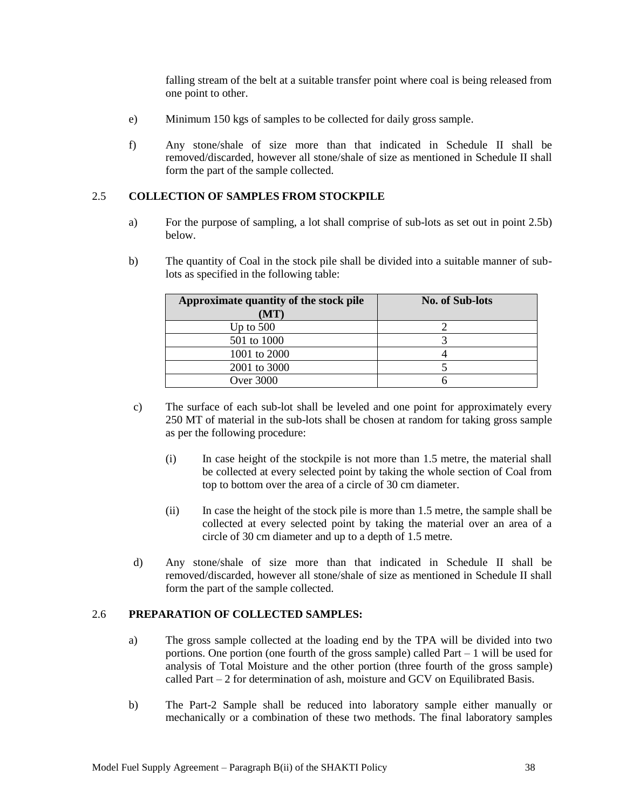falling stream of the belt at a suitable transfer point where coal is being released from one point to other.

- e) Minimum 150 kgs of samples to be collected for daily gross sample.
- f) Any stone/shale of size more than that indicated in Schedule II shall be removed/discarded, however all stone/shale of size as mentioned in Schedule II shall form the part of the sample collected.

#### 2.5 **COLLECTION OF SAMPLES FROM STOCKPILE**

- a) For the purpose of sampling, a lot shall comprise of sub-lots as set out in point 2.5b) below.
- b) The quantity of Coal in the stock pile shall be divided into a suitable manner of sublots as specified in the following table:

| Approximate quantity of the stock pile<br>(MT) | <b>No. of Sub-lots</b> |
|------------------------------------------------|------------------------|
| Up to $500$                                    |                        |
| 501 to 1000                                    |                        |
| 1001 to 2000                                   |                        |
| 2001 to 3000                                   |                        |
| <b>Over 3000</b>                               |                        |

- c) The surface of each sub-lot shall be leveled and one point for approximately every 250 MT of material in the sub-lots shall be chosen at random for taking gross sample as per the following procedure:
	- (i) In case height of the stockpile is not more than 1.5 metre, the material shall be collected at every selected point by taking the whole section of Coal from top to bottom over the area of a circle of 30 cm diameter.
	- (ii) In case the height of the stock pile is more than 1.5 metre, the sample shall be collected at every selected point by taking the material over an area of a circle of 30 cm diameter and up to a depth of 1.5 metre.
- d) Any stone/shale of size more than that indicated in Schedule II shall be removed/discarded, however all stone/shale of size as mentioned in Schedule II shall form the part of the sample collected.

#### 2.6 **PREPARATION OF COLLECTED SAMPLES:**

- a) The gross sample collected at the loading end by the TPA will be divided into two portions. One portion (one fourth of the gross sample) called Part – 1 will be used for analysis of Total Moisture and the other portion (three fourth of the gross sample) called Part – 2 for determination of ash, moisture and GCV on Equilibrated Basis.
- b) The Part-2 Sample shall be reduced into laboratory sample either manually or mechanically or a combination of these two methods. The final laboratory samples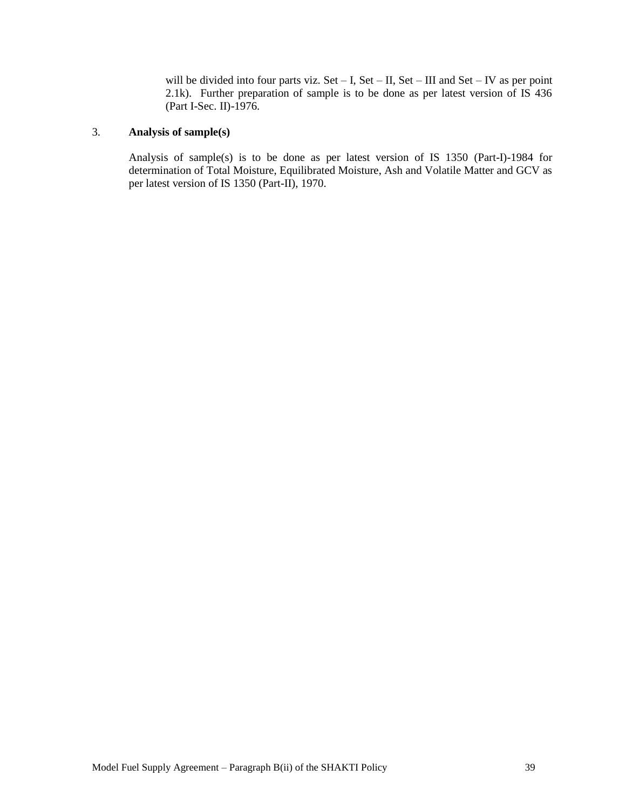will be divided into four parts viz. Set – I, Set – II, Set – III and Set – IV as per point 2.1k). Further preparation of sample is to be done as per latest version of IS 436 (Part I-Sec. II)-1976.

## 3. **Analysis of sample(s)**

Analysis of sample(s) is to be done as per latest version of IS 1350 (Part-I)-1984 for determination of Total Moisture, Equilibrated Moisture, Ash and Volatile Matter and GCV as per latest version of IS 1350 (Part-II), 1970.